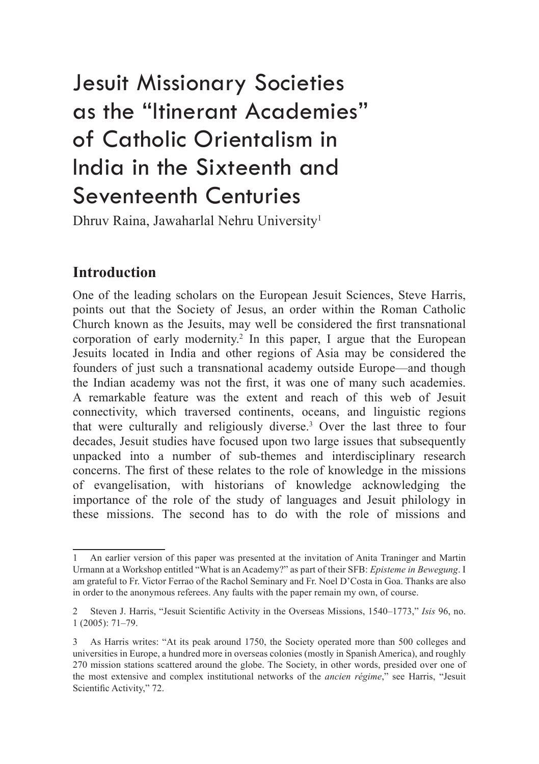# Jesuit Missionary Societies as the "Itinerant Academies" of Catholic Orientalism in India in the Sixteenth and Seventeenth Centuries

Dhruv Raina, Jawaharlal Nehru University1

# **Introduction**

One of the leading scholars on the European Jesuit Sciences, Steve Harris, points out that the Society of Jesus, an order within the Roman Catholic Church known as the Jesuits, may well be considered the first transnational corporation of early modernity.<sup>2</sup> In this paper, I argue that the European Jesuits located in India and other regions of Asia may be considered the founders of just such a transnational academy outside Europe—and though the Indian academy was not the first, it was one of many such academies. A remarkable feature was the extent and reach of this web of Jesuit connectivity, which traversed continents, oceans, and linguistic regions that were culturally and religiously diverse.3 Over the last three to four decades, Jesuit studies have focused upon two large issues that subsequently unpacked into a number of sub-themes and interdisciplinary research concerns. The first of these relates to the role of knowledge in the missions of evangelisation, with historians of knowledge acknowledging the importance of the role of the study of languages and Jesuit philology in these missions. The second has to do with the role of missions and

<sup>1</sup> An earlier version of this paper was presented at the invitation of Anita Traninger and Martin Urmann at a Workshop entitled "What is an Academy?" as part of their SFB: *Episteme in Bewegung*. I am grateful to Fr. Victor Ferrao of the Rachol Seminary and Fr. Noel D'Costa in Goa. Thanks are also in order to the anonymous referees. Any faults with the paper remain my own, of course.

<sup>2</sup> Steven J. Harris, "Jesuit Scientific Activity in the Overseas Missions, 1540–1773," *Isis* 96, no. 1 (2005): 71–79.

<sup>3</sup> As Harris writes: "At its peak around 1750, the Society operated more than 500 colleges and universities in Europe, a hundred more in overseas colonies (mostly in Spanish America), and roughly 270 mission stations scattered around the globe. The Society, in other words, presided over one of the most extensive and complex institutional networks of the *ancien régime*," see Harris, "Jesuit Scientific Activity," 72.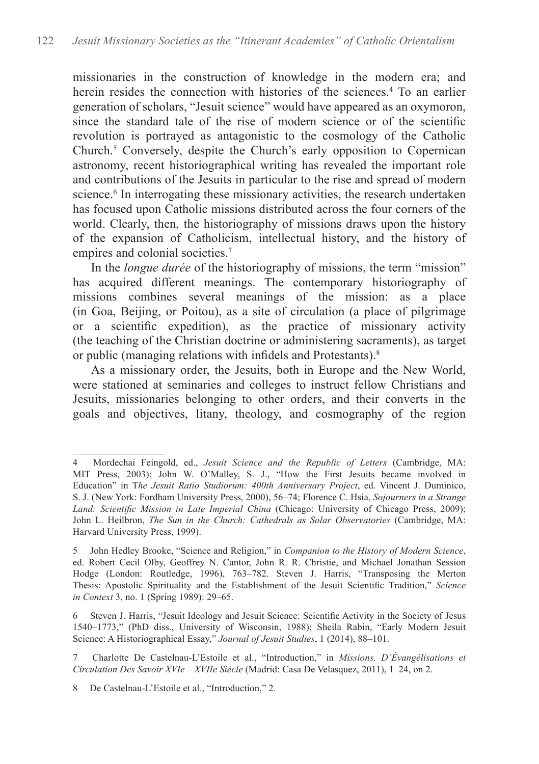missionaries in the construction of knowledge in the modern era; and herein resides the connection with histories of the sciences.<sup>4</sup> To an earlier generation of scholars, "Jesuit science" would have appeared as an oxymoron, since the standard tale of the rise of modern science or of the scientific revolution is portrayed as antagonistic to the cosmology of the Catholic Church.<sup>5</sup> Conversely, despite the Church's early opposition to Copernican astronomy, recent historiographical writing has revealed the important role and contributions of the Jesuits in particular to the rise and spread of modern science.<sup>6</sup> In interrogating these missionary activities, the research undertaken has focused upon Catholic missions distributed across the four corners of the world. Clearly, then, the historiography of missions draws upon the history of the expansion of Catholicism, intellectual history, and the history of empires and colonial societies.<sup>7</sup>

In the *longue durée* of the historiography of missions, the term "mission" has acquired different meanings. The contemporary historiography of missions combines several meanings of the mission: as a place (in Goa, Beijing, or Poitou), as a site of circulation (a place of pilgrimage or a scientific expedition), as the practice of missionary activity (the teaching of the Christian doctrine or administering sacraments), as target or public (managing relations with infidels and Protestants).<sup>8</sup>

As a missionary order, the Jesuits, both in Europe and the New World, were stationed at seminaries and colleges to instruct fellow Christians and Jesuits, missionaries belonging to other orders, and their converts in the goals and objectives, litany, theology, and cosmography of the region

<sup>4</sup> Mordechai Feingold, ed., *Jesuit Science and the Republic of Letters* (Cambridge, MA: MIT Press, 2003); John W. O'Malley, S. J., "How the First Jesuits became involved in Education" in T*he Jesuit Ratio Studiorum: 400th Anniversary Project*, ed. Vincent J. Duminico, S. J. (New York: Fordham University Press, 2000), 56–74; Florence C. Hsia, *Sojourners in a Strange Land: Scientific Mission in Late Imperial China* (Chicago: University of Chicago Press, 2009); John L. Heilbron, *The Sun in the Church: Cathedrals as Solar Observatories* (Cambridge, MA: Harvard University Press, 1999).

<sup>5</sup> John Hedley Brooke, "Science and Religion," in *Companion to the History of Modern Science*, ed. Robert Cecil Olby, Geoffrey N. Cantor, John R. R. Christie, and Michael Jonathan Session Hodge (London: Routledge, 1996), 763–782. Steven J. Harris, "Transposing the Merton Thesis: Apostolic Spirituality and the Establishment of the Jesuit Scientific Tradition," *Science in Context* 3, no. 1 (Spring 1989): 29–65.

<sup>6</sup> Steven J. Harris, "Jesuit Ideology and Jesuit Science: Scientific Activity in the Society of Jesus 1540–1773," (PhD diss., University of Wisconsin, 1988); Sheila Rabin, "Early Modern Jesuit Science: A Historiographical Essay," *Journal of Jesuit Studies*, 1 (2014), 88–101.

<sup>7</sup> Charlotte De Castelnau-L'Estoile et al., "Introduction," in *Missions, D'Évangélisations et Circulation Des Savoir XVIe – XVIIe Siècle* (Madrid: Casa De Velasquez, 2011), 1–24, on 2.

<sup>8</sup> De Castelnau-L'Estoile et al., "Introduction," 2.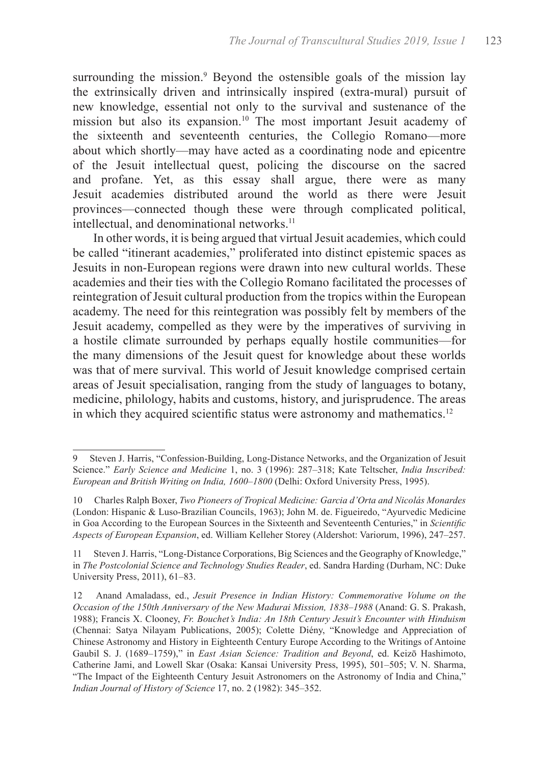surrounding the mission.<sup>9</sup> Beyond the ostensible goals of the mission lay the extrinsically driven and intrinsically inspired (extra-mural) pursuit of new knowledge, essential not only to the survival and sustenance of the mission but also its expansion.<sup>10</sup> The most important Jesuit academy of the sixteenth and seventeenth centuries, the Collegio Romano—more about which shortly—may have acted as a coordinating node and epicentre of the Jesuit intellectual quest, policing the discourse on the sacred and profane. Yet, as this essay shall argue, there were as many Jesuit academies distributed around the world as there were Jesuit provinces—connected though these were through complicated political, intellectual, and denominational networks.<sup>11</sup>

 In other words, it is being argued that virtual Jesuit academies, which could be called "itinerant academies," proliferated into distinct epistemic spaces as Jesuits in non-European regions were drawn into new cultural worlds. These academies and their ties with the Collegio Romano facilitated the processes of reintegration of Jesuit cultural production from the tropics within the European academy. The need for this reintegration was possibly felt by members of the Jesuit academy, compelled as they were by the imperatives of surviving in a hostile climate surrounded by perhaps equally hostile communities—for the many dimensions of the Jesuit quest for knowledge about these worlds was that of mere survival. This world of Jesuit knowledge comprised certain areas of Jesuit specialisation, ranging from the study of languages to botany, medicine, philology, habits and customs, history, and jurisprudence. The areas in which they acquired scientific status were astronomy and mathematics.<sup>12</sup>

<sup>9</sup> Steven J. Harris, "Confession-Building, Long-Distance Networks, and the Organization of Jesuit Science." *Early Science and Medicine* 1, no. 3 (1996): 287–318; Kate Teltscher, *India Inscribed: European and British Writing on India, 1600–1800* (Delhi: Oxford University Press, 1995).

<sup>10</sup> Charles Ralph Boxer, *Two Pioneers of Tropical Medicine: Garcia d'Orta and Nicolás Monardes* (London: Hispanic & Luso-Brazilian Councils, 1963); John M. de. Figueiredo, "Ayurvedic Medicine in Goa According to the European Sources in the Sixteenth and Seventeenth Centuries," in *Scientific Aspects of European Expansion*, ed. William Kelleher Storey (Aldershot: Variorum, 1996), 247–257.

<sup>11</sup> Steven J. Harris, "Long-Distance Corporations, Big Sciences and the Geography of Knowledge," in *The Postcolonial Science and Technology Studies Reader*, ed. Sandra Harding (Durham, NC: Duke University Press, 2011), 61–83.

<sup>12</sup> Anand Amaladass, ed., *Jesuit Presence in Indian History: Commemorative Volume on the Occasion of the 150th Anniversary of the New Madurai Mission, 1838–1988* (Anand: G. S. Prakash, 1988); Francis X. Clooney, *Fr. Bouchet's India: An 18th Century Jesuit's Encounter with Hinduism* (Chennai: Satya Nilayam Publications, 2005); Colette Diény, "Knowledge and Appreciation of Chinese Astronomy and History in Eighteenth Century Europe According to the Writings of Antoine Gaubil S. J. (1689–1759)," in *East Asian Science: Tradition and Beyond*, ed. Keizō Hashimoto, Catherine Jami, and Lowell Skar (Osaka: Kansai University Press, 1995), 501–505; V. N. Sharma, "The Impact of the Eighteenth Century Jesuit Astronomers on the Astronomy of India and China," *Indian Journal of History of Science* 17, no. 2 (1982): 345–352.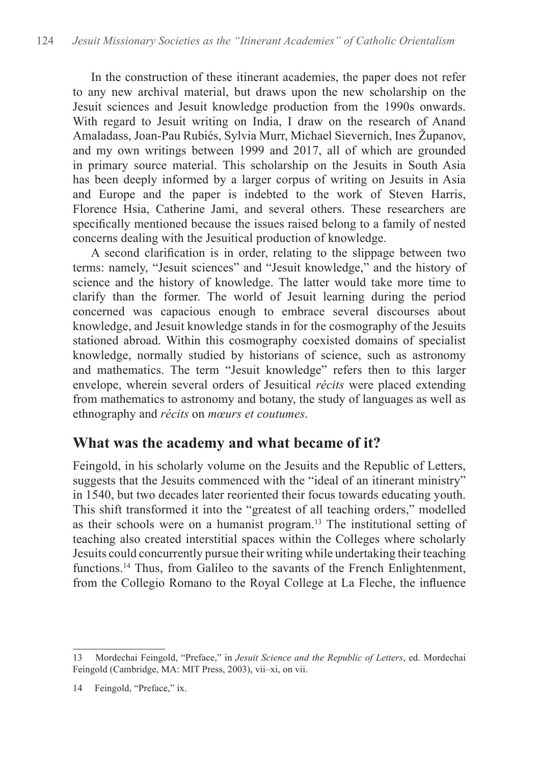In the construction of these itinerant academies, the paper does not refer to any new archival material, but draws upon the new scholarship on the Jesuit sciences and Jesuit knowledge production from the 1990s onwards. With regard to Jesuit writing on India, I draw on the research of Anand Amaladass, Joan-Pau Rubiés, Sylvia Murr, Michael Sievernich, Ines Županov, and my own writings between 1999 and 2017, all of which are grounded in primary source material. This scholarship on the Jesuits in South Asia has been deeply informed by a larger corpus of writing on Jesuits in Asia and Europe and the paper is indebted to the work of Steven Harris, Florence Hsia, Catherine Jami, and several others. These researchers are specifically mentioned because the issues raised belong to a family of nested concerns dealing with the Jesuitical production of knowledge.

A second clarification is in order, relating to the slippage between two terms: namely, "Jesuit sciences" and "Jesuit knowledge," and the history of science and the history of knowledge. The latter would take more time to clarify than the former. The world of Jesuit learning during the period concerned was capacious enough to embrace several discourses about knowledge, and Jesuit knowledge stands in for the cosmography of the Jesuits stationed abroad. Within this cosmography coexisted domains of specialist knowledge, normally studied by historians of science, such as astronomy and mathematics. The term "Jesuit knowledge" refers then to this larger envelope, wherein several orders of Jesuitical *récits* were placed extending from mathematics to astronomy and botany, the study of languages as well as ethnography and *récits* on *mœurs et coutumes*.

#### **What was the academy and what became of it?**

Feingold, in his scholarly volume on the Jesuits and the Republic of Letters, suggests that the Jesuits commenced with the "ideal of an itinerant ministry" in 1540, but two decades later reoriented their focus towards educating youth. This shift transformed it into the "greatest of all teaching orders," modelled as their schools were on a humanist program.13 The institutional setting of teaching also created interstitial spaces within the Colleges where scholarly Jesuits could concurrently pursue their writing while undertaking their teaching functions.<sup>14</sup> Thus, from Galileo to the savants of the French Enlightenment, from the Collegio Romano to the Royal College at La Fleche, the influence

<sup>13</sup> Mordechai Feingold, "Preface," in *Jesuit Science and the Republic of Letters*, ed. Mordechai Feingold (Cambridge, MA: MIT Press, 2003), vii–xi, on vii.

<sup>14</sup> Feingold, "Preface," ix.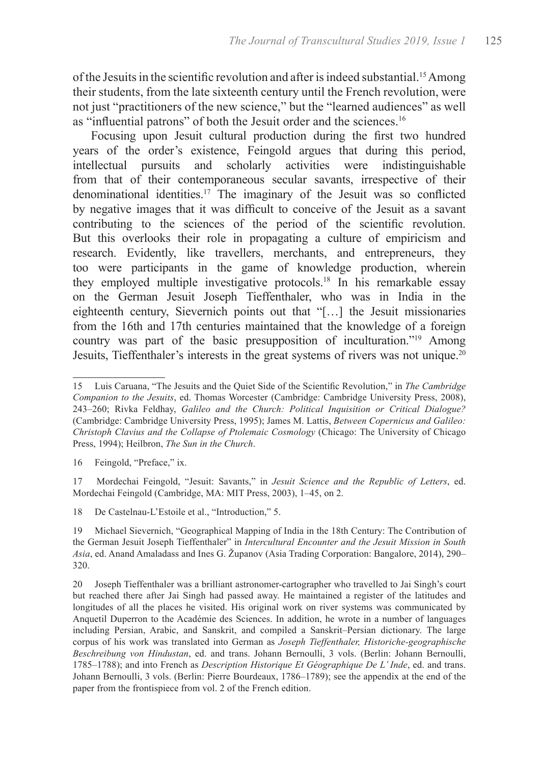of the Jesuits in the scientific revolution and after is indeed substantial.15 Among their students, from the late sixteenth century until the French revolution, were not just "practitioners of the new science," but the "learned audiences" as well as "influential patrons" of both the Jesuit order and the sciences.<sup>16</sup>

Focusing upon Jesuit cultural production during the first two hundred years of the order's existence, Feingold argues that during this period, intellectual pursuits and scholarly activities were indistinguishable from that of their contemporaneous secular savants, irrespective of their denominational identities.17 The imaginary of the Jesuit was so conflicted by negative images that it was difficult to conceive of the Jesuit as a savant contributing to the sciences of the period of the scientific revolution. But this overlooks their role in propagating a culture of empiricism and research. Evidently, like travellers, merchants, and entrepreneurs, they too were participants in the game of knowledge production, wherein they employed multiple investigative protocols.18 In his remarkable essay on the German Jesuit Joseph Tieffenthaler, who was in India in the eighteenth century, Sievernich points out that "[…] the Jesuit missionaries from the 16th and 17th centuries maintained that the knowledge of a foreign country was part of the basic presupposition of inculturation."19 Among Jesuits, Tieffenthaler's interests in the great systems of rivers was not unique.<sup>20</sup>

18 De Castelnau-L'Estoile et al., "Introduction," 5.

<sup>15</sup> Luis Caruana, "The Jesuits and the Quiet Side of the Scientific Revolution," in *The Cambridge Companion to the Jesuits*, ed. Thomas Worcester (Cambridge: Cambridge University Press, 2008), 243–260; Rivka Feldhay, *Galileo and the Church: Political Inquisition or Critical Dialogue?* (Cambridge: Cambridge University Press, 1995); James M. Lattis, *Between Copernicus and Galileo: Christoph Clavius and the Collapse of Ptolemaic Cosmology* (Chicago: The University of Chicago Press, 1994); Heilbron, *The Sun in the Church*.

<sup>16</sup> Feingold, "Preface," ix.

<sup>17</sup> Mordechai Feingold, "Jesuit: Savants," in *Jesuit Science and the Republic of Letters*, ed. Mordechai Feingold (Cambridge, MA: MIT Press, 2003), 1–45, on 2.

<sup>19</sup> Michael Sievernich, "Geographical Mapping of India in the 18th Century: The Contribution of the German Jesuit Joseph Tieffenthaler" in *Intercultural Encounter and the Jesuit Mission in South Asia*, ed. Anand Amaladass and Ines G. Županov (Asia Trading Corporation: Bangalore, 2014), 290– 320.

<sup>20</sup> Joseph Tieffenthaler was a brilliant astronomer-cartographer who travelled to Jai Singh's court but reached there after Jai Singh had passed away. He maintained a register of the latitudes and longitudes of all the places he visited. His original work on river systems was communicated by Anquetil Duperron to the Académie des Sciences. In addition, he wrote in a number of languages including Persian, Arabic, and Sanskrit, and compiled a Sanskrit–Persian dictionary. The large corpus of his work was translated into German as *Joseph Tieffenthaler, Historiche-geographische Beschreibung von Hindustan*, ed. and trans. Johann Bernoulli, 3 vols. (Berlin: Johann Bernoulli, 1785–1788); and into French as *Description Historique Et Géographique De L' Inde*, ed. and trans. Johann Bernoulli, 3 vols. (Berlin: Pierre Bourdeaux, 1786–1789); see the appendix at the end of the paper from the frontispiece from vol. 2 of the French edition.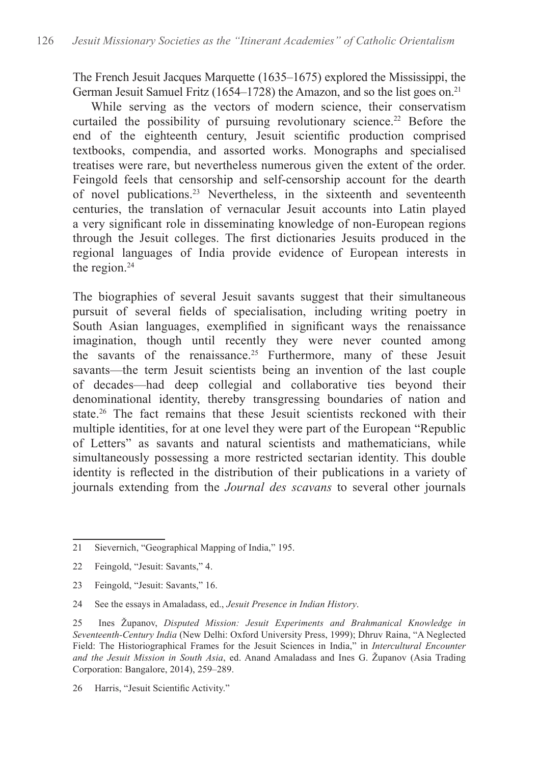The French Jesuit Jacques Marquette (1635–1675) explored the Mississippi, the German Jesuit Samuel Fritz (1654–1728) the Amazon, and so the list goes on.<sup>21</sup>

While serving as the vectors of modern science, their conservatism curtailed the possibility of pursuing revolutionary science.<sup>22</sup> Before the end of the eighteenth century, Jesuit scientific production comprised textbooks, compendia, and assorted works. Monographs and specialised treatises were rare, but nevertheless numerous given the extent of the order. Feingold feels that censorship and self-censorship account for the dearth of novel publications.23 Nevertheless, in the sixteenth and seventeenth centuries, the translation of vernacular Jesuit accounts into Latin played a very significant role in disseminating knowledge of non-European regions through the Jesuit colleges. The first dictionaries Jesuits produced in the regional languages of India provide evidence of European interests in the region.<sup>24</sup>

The biographies of several Jesuit savants suggest that their simultaneous pursuit of several fields of specialisation, including writing poetry in South Asian languages, exemplified in significant ways the renaissance imagination, though until recently they were never counted among the savants of the renaissance.<sup>25</sup> Furthermore, many of these Jesuit savants—the term Jesuit scientists being an invention of the last couple of decades—had deep collegial and collaborative ties beyond their denominational identity, thereby transgressing boundaries of nation and state.<sup>26</sup> The fact remains that these Jesuit scientists reckoned with their multiple identities, for at one level they were part of the European "Republic of Letters" as savants and natural scientists and mathematicians, while simultaneously possessing a more restricted sectarian identity. This double identity is reflected in the distribution of their publications in a variety of journals extending from the *Journal des scavans* to several other journals

<sup>21</sup> Sievernich, "Geographical Mapping of India," 195.

<sup>22</sup> Feingold, "Jesuit: Savants," 4.

<sup>23</sup> Feingold, "Jesuit: Savants," 16.

<sup>24</sup> See the essays in Amaladass, ed., *Jesuit Presence in Indian History*.

<sup>25</sup> Ines Županov, *Disputed Mission: Jesuit Experiments and Brahmanical Knowledge in Seventeenth-Century India* (New Delhi: Oxford University Press, 1999); Dhruv Raina, "A Neglected Field: The Historiographical Frames for the Jesuit Sciences in India," in *Intercultural Encounter and the Jesuit Mission in South Asia*, ed. Anand Amaladass and Ines G. Županov (Asia Trading Corporation: Bangalore, 2014), 259–289.

<sup>26</sup> Harris, "Jesuit Scientific Activity."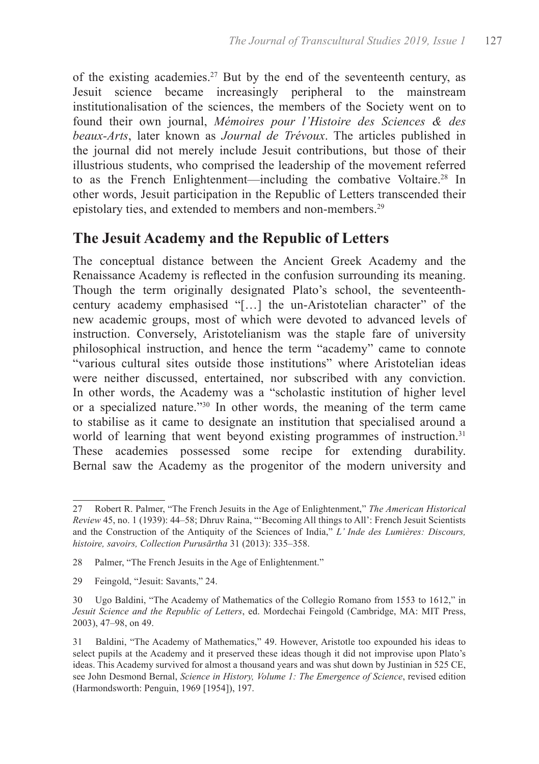of the existing academies.<sup>27</sup> But by the end of the seventeenth century, as Jesuit science became increasingly peripheral to the mainstream institutionalisation of the sciences, the members of the Society went on to found their own journal, *Mémoires pour l'Histoire des Sciences & des beaux-Arts*, later known as *Journal de Trévoux*. The articles published in the journal did not merely include Jesuit contributions, but those of their illustrious students, who comprised the leadership of the movement referred to as the French Enlightenment—including the combative Voltaire.<sup>28</sup> In other words, Jesuit participation in the Republic of Letters transcended their epistolary ties, and extended to members and non-members.<sup>29</sup>

### **The Jesuit Academy and the Republic of Letters**

The conceptual distance between the Ancient Greek Academy and the Renaissance Academy is reflected in the confusion surrounding its meaning. Though the term originally designated Plato's school, the seventeenthcentury academy emphasised "[…] the un-Aristotelian character" of the new academic groups, most of which were devoted to advanced levels of instruction. Conversely, Aristotelianism was the staple fare of university philosophical instruction, and hence the term "academy" came to connote "various cultural sites outside those institutions" where Aristotelian ideas were neither discussed, entertained, nor subscribed with any conviction. In other words, the Academy was a "scholastic institution of higher level or a specialized nature."<sup>30</sup> In other words, the meaning of the term came to stabilise as it came to designate an institution that specialised around a world of learning that went beyond existing programmes of instruction.<sup>31</sup> These academies possessed some recipe for extending durability. Bernal saw the Academy as the progenitor of the modern university and

<sup>27</sup> Robert R. Palmer, "The French Jesuits in the Age of Enlightenment," *The American Historical Review* 45, no. 1 (1939): 44–58; Dhruv Raina, "'Becoming All things to All': French Jesuit Scientists and the Construction of the Antiquity of the Sciences of India," *L' Inde des Lumières: Discours, histoire, savoirs, Collection Purusārtha* 31 (2013): 335–358.

<sup>28</sup> Palmer, "The French Jesuits in the Age of Enlightenment."

<sup>29</sup> Feingold, "Jesuit: Savants," 24.

<sup>30</sup> Ugo Baldini, "The Academy of Mathematics of the Collegio Romano from 1553 to 1612," in *Jesuit Science and the Republic of Letters*, ed. Mordechai Feingold (Cambridge, MA: MIT Press, 2003), 47–98, on 49.

<sup>31</sup> Baldini, "The Academy of Mathematics," 49. However, Aristotle too expounded his ideas to select pupils at the Academy and it preserved these ideas though it did not improvise upon Plato's ideas. This Academy survived for almost a thousand years and was shut down by Justinian in 525 CE, see John Desmond Bernal, *Science in History, Volume 1: The Emergence of Science*, revised edition (Harmondsworth: Penguin, 1969 [1954]), 197.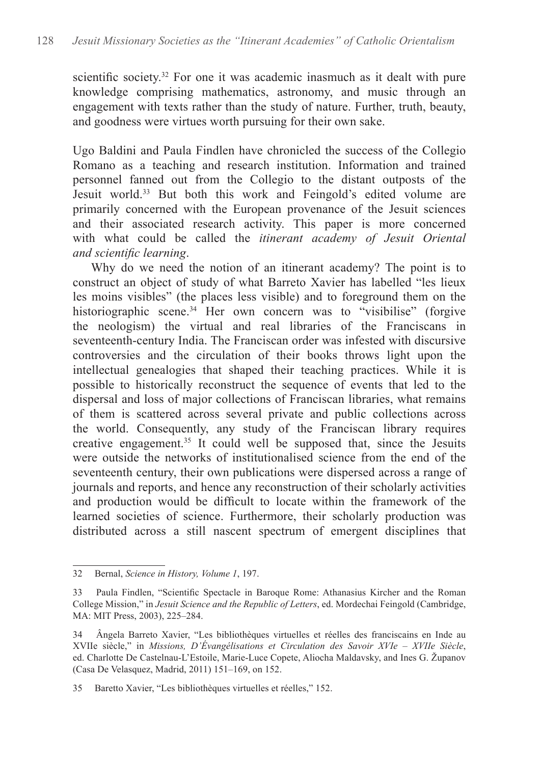scientific society.<sup>32</sup> For one it was academic inasmuch as it dealt with pure knowledge comprising mathematics, astronomy, and music through an engagement with texts rather than the study of nature. Further, truth, beauty, and goodness were virtues worth pursuing for their own sake.

Ugo Baldini and Paula Findlen have chronicled the success of the Collegio Romano as a teaching and research institution. Information and trained personnel fanned out from the Collegio to the distant outposts of the Jesuit world.33 But both this work and Feingold's edited volume are primarily concerned with the European provenance of the Jesuit sciences and their associated research activity. This paper is more concerned with what could be called the *itinerant academy of Jesuit Oriental and scientific learning*.

Why do we need the notion of an itinerant academy? The point is to construct an object of study of what Barreto Xavier has labelled "les lieux les moins visibles" (the places less visible) and to foreground them on the historiographic scene.<sup>34</sup> Her own concern was to "visibilise" (forgive the neologism) the virtual and real libraries of the Franciscans in seventeenth-century India. The Franciscan order was infested with discursive controversies and the circulation of their books throws light upon the intellectual genealogies that shaped their teaching practices. While it is possible to historically reconstruct the sequence of events that led to the dispersal and loss of major collections of Franciscan libraries, what remains of them is scattered across several private and public collections across the world. Consequently, any study of the Franciscan library requires creative engagement.<sup>35</sup> It could well be supposed that, since the Jesuits were outside the networks of institutionalised science from the end of the seventeenth century, their own publications were dispersed across a range of journals and reports, and hence any reconstruction of their scholarly activities and production would be difficult to locate within the framework of the learned societies of science. Furthermore, their scholarly production was distributed across a still nascent spectrum of emergent disciplines that

<sup>32</sup> Bernal, *Science in History, Volume 1*, 197.

<sup>33</sup> Paula Findlen, "Scientific Spectacle in Baroque Rome: Athanasius Kircher and the Roman College Mission," in *Jesuit Science and the Republic of Letters*, ed. Mordechai Feingold (Cambridge, MA: MIT Press, 2003), 225–284.

<sup>34</sup> Ângela Barreto Xavier, "Les bibliothèques virtuelles et réelles des franciscains en Inde au XVIIe siècle," in *Missions, D'Évangélisations et Circulation des Savoir XVIe – XVIIe Siècle*, ed. Charlotte De Castelnau-L'Estoile, Marie-Luce Copete, Aliocha Maldavsky, and Ines G. Županov (Casa De Velasquez, Madrid, 2011) 151–169, on 152.

<sup>35</sup> Baretto Xavier, "Les bibliothèques virtuelles et réelles," 152.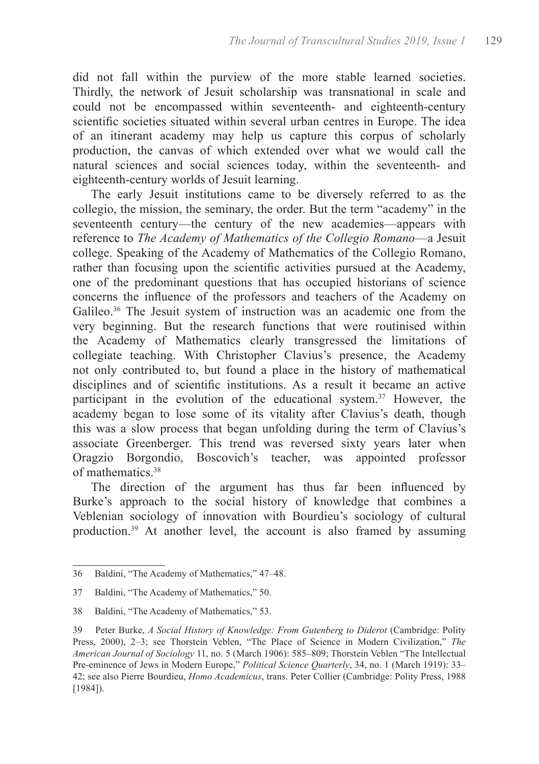did not fall within the purview of the more stable learned societies. Thirdly, the network of Jesuit scholarship was transnational in scale and could not be encompassed within seventeenth- and eighteenth-century scientific societies situated within several urban centres in Europe. The idea of an itinerant academy may help us capture this corpus of scholarly production, the canvas of which extended over what we would call the natural sciences and social sciences today, within the seventeenth- and eighteenth-century worlds of Jesuit learning.

The early Jesuit institutions came to be diversely referred to as the collegio, the mission, the seminary, the order. But the term "academy" in the seventeenth century—the century of the new academies—appears with reference to *The Academy of Mathematics of the Collegio Romano*—a Jesuit college. Speaking of the Academy of Mathematics of the Collegio Romano, rather than focusing upon the scientific activities pursued at the Academy, one of the predominant questions that has occupied historians of science concerns the influence of the professors and teachers of the Academy on Galileo.<sup>36</sup> The Jesuit system of instruction was an academic one from the very beginning. But the research functions that were routinised within the Academy of Mathematics clearly transgressed the limitations of collegiate teaching. With Christopher Clavius's presence, the Academy not only contributed to, but found a place in the history of mathematical disciplines and of scientific institutions. As a result it became an active participant in the evolution of the educational system.<sup>37</sup> However, the academy began to lose some of its vitality after Clavius's death, though this was a slow process that began unfolding during the term of Clavius's associate Greenberger. This trend was reversed sixty years later when Oragzio Borgondio, Boscovich's teacher, was appointed professor of mathematics.38

The direction of the argument has thus far been influenced by Burke's approach to the social history of knowledge that combines a Veblenian sociology of innovation with Bourdieu's sociology of cultural production.39 At another level, the account is also framed by assuming

<sup>36</sup> Baldini, "The Academy of Mathematics," 47–48.

<sup>37</sup> Baldini, "The Academy of Mathematics," 50.

<sup>38</sup> Baldini, "The Academy of Mathematics," 53.

<sup>39</sup> Peter Burke, *A Social History of Knowledge: From Gutenberg to Diderot* (Cambridge: Polity Press, 2000), 2–3; see Thorstein Veblen, "The Place of Science in Modern Civilization," *The American Journal of Sociology* 11, no. 5 (March 1906): 585–809; Thorstein Veblen "The Intellectual Pre-eminence of Jews in Modern Europe," *Political Science Quarterly*, 34, no. 1 (March 1919): 33– 42; see also Pierre Bourdieu, *Homo Academicus*, trans. Peter Collier (Cambridge: Polity Press, 1988 [1984]).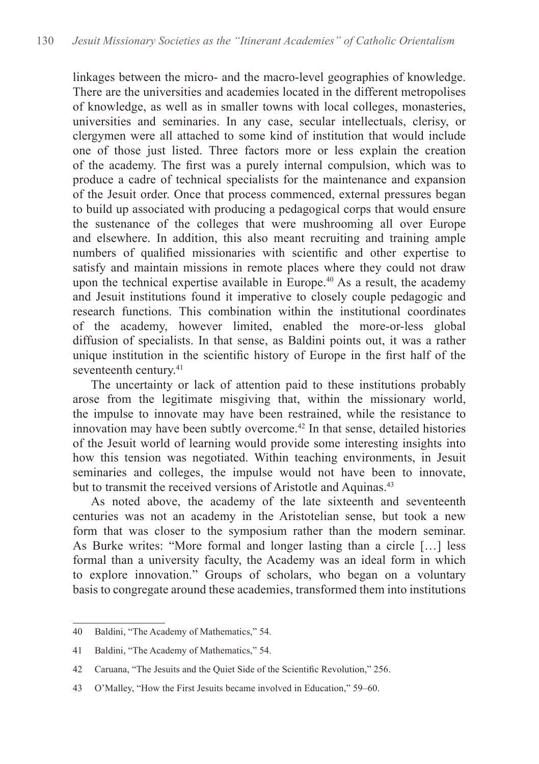linkages between the micro- and the macro-level geographies of knowledge. There are the universities and academies located in the different metropolises of knowledge, as well as in smaller towns with local colleges, monasteries, universities and seminaries. In any case, secular intellectuals, clerisy, or clergymen were all attached to some kind of institution that would include one of those just listed. Three factors more or less explain the creation of the academy. The first was a purely internal compulsion, which was to produce a cadre of technical specialists for the maintenance and expansion of the Jesuit order. Once that process commenced, external pressures began to build up associated with producing a pedagogical corps that would ensure the sustenance of the colleges that were mushrooming all over Europe and elsewhere. In addition, this also meant recruiting and training ample numbers of qualified missionaries with scientific and other expertise to satisfy and maintain missions in remote places where they could not draw upon the technical expertise available in Europe.<sup>40</sup> As a result, the academy and Jesuit institutions found it imperative to closely couple pedagogic and research functions. This combination within the institutional coordinates of the academy, however limited, enabled the more-or-less global diffusion of specialists. In that sense, as Baldini points out, it was a rather unique institution in the scientific history of Europe in the first half of the seventeenth century.<sup>41</sup>

The uncertainty or lack of attention paid to these institutions probably arose from the legitimate misgiving that, within the missionary world, the impulse to innovate may have been restrained, while the resistance to innovation may have been subtly overcome.<sup>42</sup> In that sense, detailed histories of the Jesuit world of learning would provide some interesting insights into how this tension was negotiated. Within teaching environments, in Jesuit seminaries and colleges, the impulse would not have been to innovate, but to transmit the received versions of Aristotle and Aquinas.<sup>43</sup>

As noted above, the academy of the late sixteenth and seventeenth centuries was not an academy in the Aristotelian sense, but took a new form that was closer to the symposium rather than the modern seminar. As Burke writes: "More formal and longer lasting than a circle […] less formal than a university faculty, the Academy was an ideal form in which to explore innovation." Groups of scholars, who began on a voluntary basis to congregate around these academies, transformed them into institutions

<sup>40</sup> Baldini, "The Academy of Mathematics," 54.

<sup>41</sup> Baldini, "The Academy of Mathematics," 54.

<sup>42</sup> Caruana, "The Jesuits and the Quiet Side of the Scientific Revolution," 256.

<sup>43</sup> O'Malley, "How the First Jesuits became involved in Education," 59–60.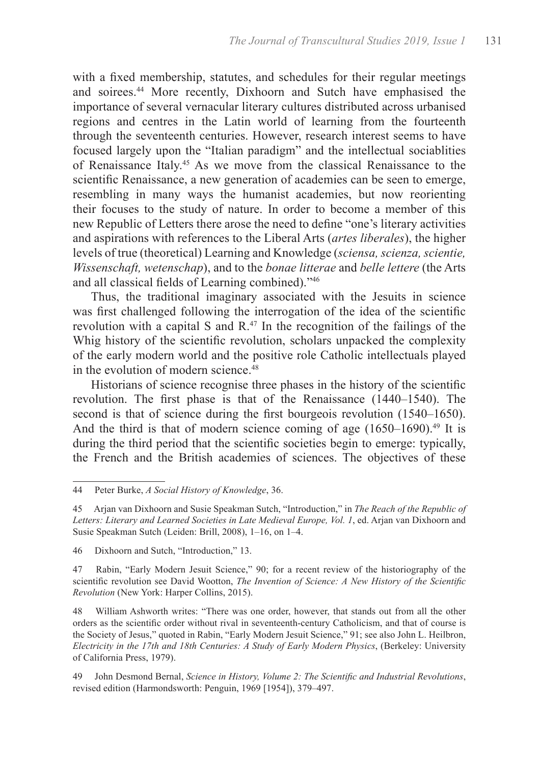with a fixed membership, statutes, and schedules for their regular meetings and soirees.<sup>44</sup> More recently, Dixhoorn and Sutch have emphasised the importance of several vernacular literary cultures distributed across urbanised regions and centres in the Latin world of learning from the fourteenth through the seventeenth centuries. However, research interest seems to have focused largely upon the "Italian paradigm" and the intellectual sociablities of Renaissance Italy.<sup>45</sup> As we move from the classical Renaissance to the scientific Renaissance, a new generation of academies can be seen to emerge, resembling in many ways the humanist academies, but now reorienting their focuses to the study of nature. In order to become a member of this new Republic of Letters there arose the need to define "one's literary activities and aspirations with references to the Liberal Arts (*artes liberales*), the higher levels of true (theoretical) Learning and Knowledge (*sciensa, scienza, scientie, Wissenschaft, wetenschap*), and to the *bonae litterae* and *belle lettere* (the Arts and all classical fields of Learning combined)."46

Thus, the traditional imaginary associated with the Jesuits in science was first challenged following the interrogation of the idea of the scientific revolution with a capital S and R.<sup>47</sup> In the recognition of the failings of the Whig history of the scientific revolution, scholars unpacked the complexity of the early modern world and the positive role Catholic intellectuals played in the evolution of modern science.<sup>48</sup>

Historians of science recognise three phases in the history of the scientific revolution. The first phase is that of the Renaissance (1440–1540). The second is that of science during the first bourgeois revolution (1540–1650). And the third is that of modern science coming of age  $(1650-1690)^{49}$  It is during the third period that the scientific societies begin to emerge: typically, the French and the British academies of sciences. The objectives of these

46 Dixhoorn and Sutch, "Introduction," 13.

48 William Ashworth writes: "There was one order, however, that stands out from all the other orders as the scientific order without rival in seventeenth-century Catholicism, and that of course is the Society of Jesus," quoted in Rabin, "Early Modern Jesuit Science," 91; see also John L. Heilbron, *Electricity in the 17th and 18th Centuries: A Study of Early Modern Physics*, (Berkeley: University of California Press, 1979).

<sup>44</sup> Peter Burke, *A Social History of Knowledge*, 36.

<sup>45</sup> Arjan van Dixhoorn and Susie Speakman Sutch, "Introduction," in *The Reach of the Republic of Letters: Literary and Learned Societies in Late Medieval Europe, Vol. 1*, ed. Arjan van Dixhoorn and Susie Speakman Sutch (Leiden: Brill, 2008), 1–16, on 1–4.

<sup>47</sup> Rabin, "Early Modern Jesuit Science," 90; for a recent review of the historiography of the scientific revolution see David Wootton, *The Invention of Science: A New History of the Scientific Revolution* (New York: Harper Collins, 2015).

<sup>49</sup> John Desmond Bernal, *Science in History, Volume 2: The Scientific and Industrial Revolutions*, revised edition (Harmondsworth: Penguin, 1969 [1954]), 379–497.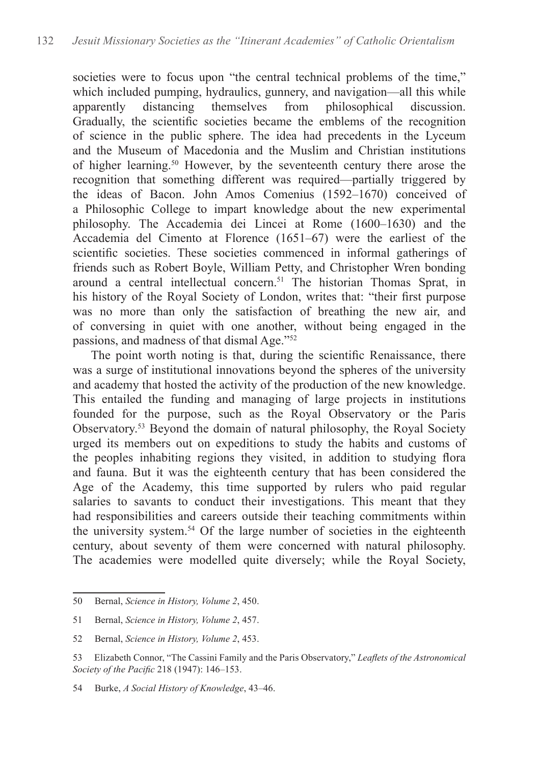societies were to focus upon "the central technical problems of the time," which included pumping, hydraulics, gunnery, and navigation—all this while apparently distancing themselves from philosophical discussion. Gradually, the scientific societies became the emblems of the recognition of science in the public sphere. The idea had precedents in the Lyceum and the Museum of Macedonia and the Muslim and Christian institutions of higher learning.<sup>50</sup> However, by the seventeenth century there arose the recognition that something different was required—partially triggered by the ideas of Bacon. John Amos Comenius (1592–1670) conceived of a Philosophic College to impart knowledge about the new experimental philosophy. The Accademia dei Lincei at Rome (1600–1630) and the Accademia del Cimento at Florence (1651–67) were the earliest of the scientific societies. These societies commenced in informal gatherings of friends such as Robert Boyle, William Petty, and Christopher Wren bonding around a central intellectual concern.<sup>51</sup> The historian Thomas Sprat, in his history of the Royal Society of London, writes that: "their first purpose was no more than only the satisfaction of breathing the new air, and of conversing in quiet with one another, without being engaged in the passions, and madness of that dismal Age."<sup>52</sup>

The point worth noting is that, during the scientific Renaissance, there was a surge of institutional innovations beyond the spheres of the university and academy that hosted the activity of the production of the new knowledge. This entailed the funding and managing of large projects in institutions founded for the purpose, such as the Royal Observatory or the Paris Observatory.<sup>53</sup> Beyond the domain of natural philosophy, the Royal Society urged its members out on expeditions to study the habits and customs of the peoples inhabiting regions they visited, in addition to studying flora and fauna. But it was the eighteenth century that has been considered the Age of the Academy, this time supported by rulers who paid regular salaries to savants to conduct their investigations. This meant that they had responsibilities and careers outside their teaching commitments within the university system.<sup>54</sup> Of the large number of societies in the eighteenth century, about seventy of them were concerned with natural philosophy. The academies were modelled quite diversely; while the Royal Society,

<sup>50</sup> Bernal, *Science in History, Volume 2*, 450.

<sup>51</sup> Bernal, *Science in History, Volume 2*, 457.

<sup>52</sup> Bernal, *Science in History, Volume 2*, 453.

<sup>53</sup> Elizabeth Connor, "The Cassini Family and the Paris Observatory," *Leaflets of the Astronomical Society of the Pacific* 218 (1947): 146–153.

<sup>54</sup> Burke, *A Social History of Knowledge*, 43–46.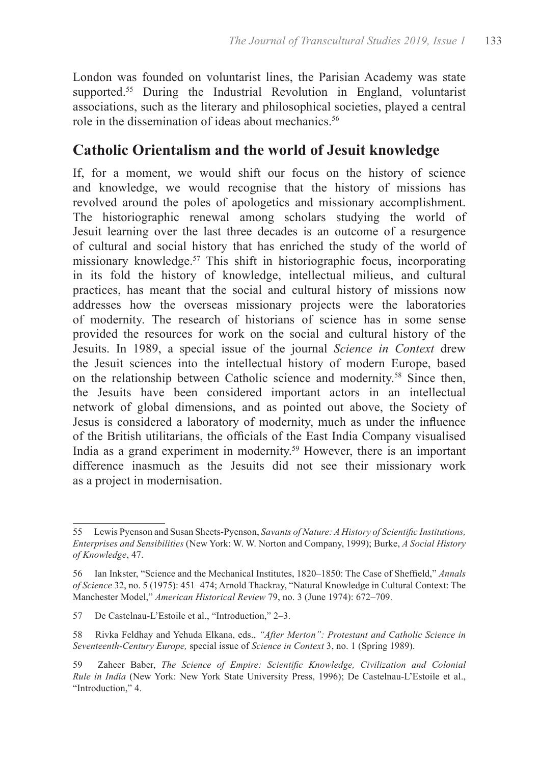London was founded on voluntarist lines, the Parisian Academy was state supported.<sup>55</sup> During the Industrial Revolution in England, voluntarist associations, such as the literary and philosophical societies, played a central role in the dissemination of ideas about mechanics.<sup>56</sup>

### **Catholic Orientalism and the world of Jesuit knowledge**

If, for a moment, we would shift our focus on the history of science and knowledge, we would recognise that the history of missions has revolved around the poles of apologetics and missionary accomplishment. The historiographic renewal among scholars studying the world of Jesuit learning over the last three decades is an outcome of a resurgence of cultural and social history that has enriched the study of the world of missionary knowledge.<sup>57</sup> This shift in historiographic focus, incorporating in its fold the history of knowledge, intellectual milieus, and cultural practices, has meant that the social and cultural history of missions now addresses how the overseas missionary projects were the laboratories of modernity. The research of historians of science has in some sense provided the resources for work on the social and cultural history of the Jesuits. In 1989, a special issue of the journal *Science in Context* drew the Jesuit sciences into the intellectual history of modern Europe, based on the relationship between Catholic science and modernity.<sup>58</sup> Since then, the Jesuits have been considered important actors in an intellectual network of global dimensions, and as pointed out above, the Society of Jesus is considered a laboratory of modernity, much as under the influence of the British utilitarians, the officials of the East India Company visualised India as a grand experiment in modernity.<sup>59</sup> However, there is an important difference inasmuch as the Jesuits did not see their missionary work as a project in modernisation.

<sup>55</sup> Lewis Pyenson and Susan Sheets-Pyenson, *Savants of Nature: A History of Scientific Institutions, Enterprises and Sensibilities* (New York: W. W. Norton and Company, 1999); Burke, *A Social History of Knowledge*, 47.

<sup>56</sup> Ian Inkster, "Science and the Mechanical Institutes, 1820–1850: The Case of Sheffield," *Annals of Science* 32, no. 5 (1975): 451–474; Arnold Thackray, "Natural Knowledge in Cultural Context: The Manchester Model," *American Historical Review* 79, no. 3 (June 1974): 672–709.

<sup>57</sup> De Castelnau-L'Estoile et al., "Introduction," 2–3.

<sup>58</sup> Rivka Feldhay and Yehuda Elkana, eds., *"After Merton": Protestant and Catholic Science in Seventeenth-Century Europe,* special issue of *Science in Context* 3, no. 1 (Spring 1989).

<sup>59</sup> Zaheer Baber, *The Science of Empire: Scientific Knowledge, Civilization and Colonial Rule in India* (New York: New York State University Press, 1996); De Castelnau-L'Estoile et al., "Introduction," 4.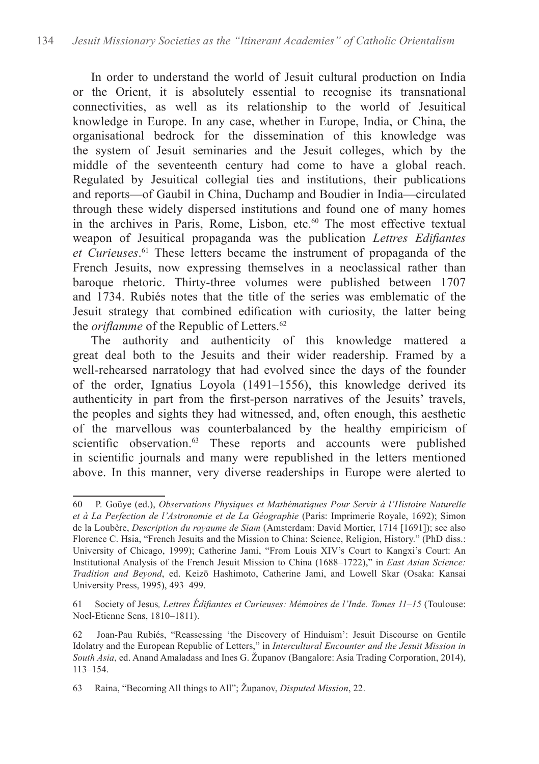In order to understand the world of Jesuit cultural production on India or the Orient, it is absolutely essential to recognise its transnational connectivities, as well as its relationship to the world of Jesuitical knowledge in Europe. In any case, whether in Europe, India, or China, the organisational bedrock for the dissemination of this knowledge was the system of Jesuit seminaries and the Jesuit colleges, which by the middle of the seventeenth century had come to have a global reach. Regulated by Jesuitical collegial ties and institutions, their publications and reports—of Gaubil in China, Duchamp and Boudier in India—circulated through these widely dispersed institutions and found one of many homes in the archives in Paris, Rome, Lisbon, etc.<sup>60</sup> The most effective textual weapon of Jesuitical propaganda was the publication *Lettres Edifiantes et Curieuses*. 61 These letters became the instrument of propaganda of the French Jesuits, now expressing themselves in a neoclassical rather than baroque rhetoric. Thirty-three volumes were published between 1707 and 1734. Rubiés notes that the title of the series was emblematic of the Jesuit strategy that combined edification with curiosity, the latter being the *oriflamme* of the Republic of Letters.<sup>62</sup>

The authority and authenticity of this knowledge mattered a great deal both to the Jesuits and their wider readership. Framed by a well-rehearsed narratology that had evolved since the days of the founder of the order, Ignatius Loyola (1491–1556), this knowledge derived its authenticity in part from the first-person narratives of the Jesuits' travels, the peoples and sights they had witnessed, and, often enough, this aesthetic of the marvellous was counterbalanced by the healthy empiricism of scientific observation.<sup>63</sup> These reports and accounts were published in scientific journals and many were republished in the letters mentioned above. In this manner, very diverse readerships in Europe were alerted to

<sup>60</sup> P. Goüye (ed.), *Observations Physiques et Mathématiques Pour Servir à l'Histoire Naturelle et à La Perfection de l'Astronomie et de La Géographie* (Paris: Imprimerie Royale, 1692); Simon de la Loubère, *Description du royaume de Siam* (Amsterdam: David Mortier, 1714 [1691]); see also Florence C. Hsia, "French Jesuits and the Mission to China: Science, Religion, History." (PhD diss.: University of Chicago, 1999); Catherine Jami, "From Louis XIV's Court to Kangxi's Court: An Institutional Analysis of the French Jesuit Mission to China (1688–1722)," in *East Asian Science: Tradition and Beyond*, ed. Keizō Hashimoto, Catherine Jami, and Lowell Skar (Osaka: Kansai University Press, 1995), 493–499.

<sup>61</sup> Society of Jesus*, Lettres Édifiantes et Curieuses: Mémoires de l'Inde. Tomes 11*–*15* (Toulouse: Noel-Etienne Sens, 1810–1811).

<sup>62</sup> Joan-Pau Rubiés, "Reassessing 'the Discovery of Hinduism': Jesuit Discourse on Gentile Idolatry and the European Republic of Letters," in *Intercultural Encounter and the Jesuit Mission in South Asia*, ed. Anand Amaladass and Ines G. Županov (Bangalore: Asia Trading Corporation, 2014), 113–154.

<sup>63</sup> Raina, "Becoming All things to All"; Županov, *Disputed Mission*, 22.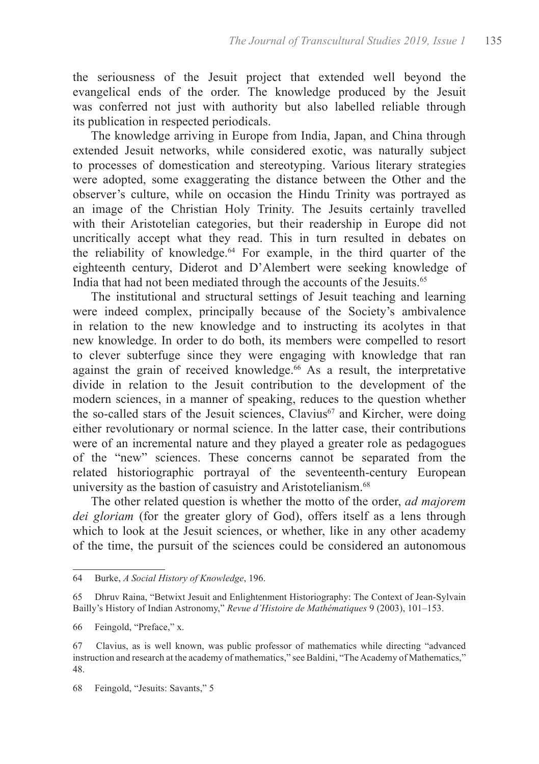the seriousness of the Jesuit project that extended well beyond the evangelical ends of the order. The knowledge produced by the Jesuit was conferred not just with authority but also labelled reliable through its publication in respected periodicals.

The knowledge arriving in Europe from India, Japan, and China through extended Jesuit networks, while considered exotic, was naturally subject to processes of domestication and stereotyping. Various literary strategies were adopted, some exaggerating the distance between the Other and the observer's culture, while on occasion the Hindu Trinity was portrayed as an image of the Christian Holy Trinity. The Jesuits certainly travelled with their Aristotelian categories, but their readership in Europe did not uncritically accept what they read. This in turn resulted in debates on the reliability of knowledge.<sup>64</sup> For example, in the third quarter of the eighteenth century, Diderot and D'Alembert were seeking knowledge of India that had not been mediated through the accounts of the Jesuits.<sup>65</sup>

The institutional and structural settings of Jesuit teaching and learning were indeed complex, principally because of the Society's ambivalence in relation to the new knowledge and to instructing its acolytes in that new knowledge. In order to do both, its members were compelled to resort to clever subterfuge since they were engaging with knowledge that ran against the grain of received knowledge.<sup>66</sup> As a result, the interpretative divide in relation to the Jesuit contribution to the development of the modern sciences, in a manner of speaking, reduces to the question whether the so-called stars of the Jesuit sciences, Clavius<sup>67</sup> and Kircher, were doing either revolutionary or normal science. In the latter case, their contributions were of an incremental nature and they played a greater role as pedagogues of the "new" sciences. These concerns cannot be separated from the related historiographic portrayal of the seventeenth-century European university as the bastion of casuistry and Aristotelianism.<sup>68</sup>

The other related question is whether the motto of the order, *ad majorem dei gloriam* (for the greater glory of God), offers itself as a lens through which to look at the Jesuit sciences, or whether, like in any other academy of the time, the pursuit of the sciences could be considered an autonomous

<sup>64</sup> Burke, *A Social History of Knowledge*, 196.

<sup>65</sup> Dhruv Raina, "Betwixt Jesuit and Enlightenment Historiography: The Context of Jean-Sylvain Bailly's History of Indian Astronomy," *Revue d'Histoire de Mathématiques* 9 (2003), 101–153.

<sup>66</sup> Feingold, "Preface," x.

<sup>67</sup> Clavius, as is well known, was public professor of mathematics while directing "advanced instruction and research at the academy of mathematics," see Baldini, "The Academy of Mathematics," 48.

<sup>68</sup> Feingold, "Jesuits: Savants," 5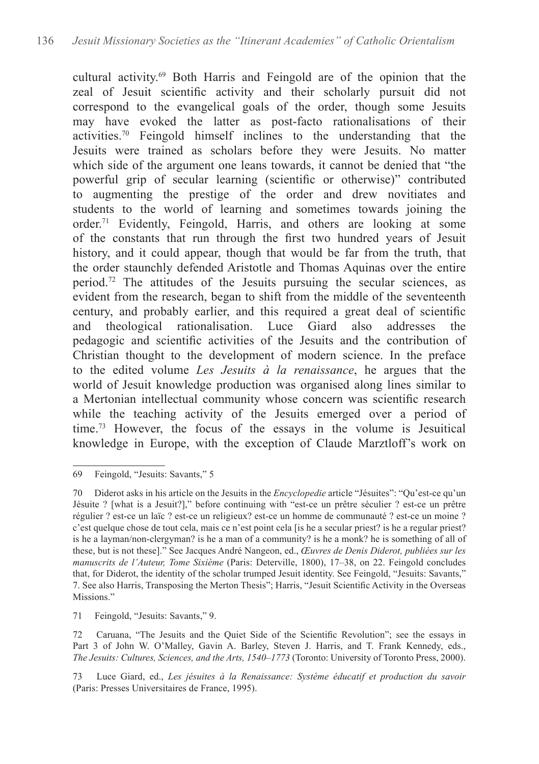cultural activity.69 Both Harris and Feingold are of the opinion that the zeal of Jesuit scientific activity and their scholarly pursuit did not correspond to the evangelical goals of the order, though some Jesuits may have evoked the latter as post-facto rationalisations of their activities.<sup>70</sup> Feingold himself inclines to the understanding that the Jesuits were trained as scholars before they were Jesuits. No matter which side of the argument one leans towards, it cannot be denied that "the powerful grip of secular learning (scientific or otherwise)" contributed to augmenting the prestige of the order and drew novitiates and students to the world of learning and sometimes towards joining the order.<sup>71</sup> Evidently, Feingold, Harris, and others are looking at some of the constants that run through the first two hundred years of Jesuit history, and it could appear, though that would be far from the truth, that the order staunchly defended Aristotle and Thomas Aquinas over the entire period.<sup>72</sup> The attitudes of the Jesuits pursuing the secular sciences, as evident from the research, began to shift from the middle of the seventeenth century, and probably earlier, and this required a great deal of scientific and theological rationalisation. Luce Giard also addresses the pedagogic and scientific activities of the Jesuits and the contribution of Christian thought to the development of modern science. In the preface to the edited volume *Les Jesuits à la renaissance*, he argues that the world of Jesuit knowledge production was organised along lines similar to a Mertonian intellectual community whose concern was scientific research while the teaching activity of the Jesuits emerged over a period of time.<sup>73</sup> However, the focus of the essays in the volume is Jesuitical knowledge in Europe, with the exception of Claude Marztloff's work on

71 Feingold, "Jesuits: Savants," 9.

73 Luce Giard, ed., *Les jésuites à la Renaissance: Système éducatif et production du savoir* (Paris: Presses Universitaires de France, 1995).

<sup>69</sup> Feingold, "Jesuits: Savants," 5

<sup>70</sup> Diderot asks in his article on the Jesuits in the *Encyclopedie* article "Jésuites": "Qu'est-ce qu'un Jésuite ? [what is a Jesuit?]," before continuing with "est-ce un prêtre séculier ? est-ce un prêtre régulier ? est-ce un laïc ? est-ce un religieux? est-ce un homme de communauté ? est-ce un moine ? c'est quelque chose de tout cela, mais ce n'est point cela [is he a secular priest? is he a regular priest? is he a layman/non-clergyman? is he a man of a community? is he a monk? he is something of all of these, but is not these]." See Jacques André Nangeon, ed., *Œuvres de Denis Diderot, publiées sur les manuscrits de l'Auteur, Tome Sixième* (Paris: Deterville, 1800), 17–38, on 22. Feingold concludes that, for Diderot, the identity of the scholar trumped Jesuit identity. See Feingold, "Jesuits: Savants," 7. See also Harris, Transposing the Merton Thesis"; Harris, "Jesuit Scientific Activity in the Overseas Missions."

<sup>72</sup> Caruana, "The Jesuits and the Quiet Side of the Scientific Revolution"; see the essays in Part 3 of John W. O'Malley, Gavin A. Barley, Steven J. Harris, and T. Frank Kennedy, eds., *The Jesuits: Cultures, Sciences, and the Arts, 1540*–*1773* (Toronto: University of Toronto Press, 2000).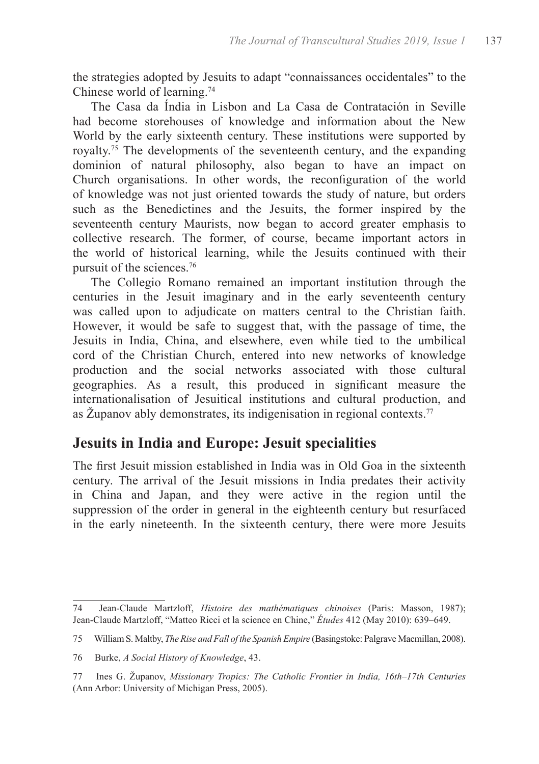the strategies adopted by Jesuits to adapt "connaissances occidentales" to the Chinese world of learning.<sup>74</sup>

The Casa da Índia in Lisbon and La Casa de Contratación in Seville had become storehouses of knowledge and information about the New World by the early sixteenth century. These institutions were supported by royalty.<sup>75</sup> The developments of the seventeenth century, and the expanding dominion of natural philosophy, also began to have an impact on Church organisations. In other words, the reconfiguration of the world of knowledge was not just oriented towards the study of nature, but orders such as the Benedictines and the Jesuits, the former inspired by the seventeenth century Maurists, now began to accord greater emphasis to collective research. The former, of course, became important actors in the world of historical learning, while the Jesuits continued with their pursuit of the sciences.<sup>76</sup>

The Collegio Romano remained an important institution through the centuries in the Jesuit imaginary and in the early seventeenth century was called upon to adjudicate on matters central to the Christian faith. However, it would be safe to suggest that, with the passage of time, the Jesuits in India, China, and elsewhere, even while tied to the umbilical cord of the Christian Church, entered into new networks of knowledge production and the social networks associated with those cultural geographies. As a result, this produced in significant measure the internationalisation of Jesuitical institutions and cultural production, and as Županov ably demonstrates, its indigenisation in regional contexts.77

# **Jesuits in India and Europe: Jesuit specialities**

The first Jesuit mission established in India was in Old Goa in the sixteenth century. The arrival of the Jesuit missions in India predates their activity in China and Japan, and they were active in the region until the suppression of the order in general in the eighteenth century but resurfaced in the early nineteenth. In the sixteenth century, there were more Jesuits

<sup>74</sup> Jean-Claude Martzloff, *Histoire des mathématiques chinoises* (Paris: Masson, 1987); Jean-Claude Martzloff, "Matteo Ricci et la science en Chine," *Études* 412 (May 2010): 639–649.

<sup>75</sup> William S. Maltby, *The Rise and Fall of the Spanish Empire* (Basingstoke: Palgrave Macmillan, 2008).

<sup>76</sup> Burke, *A Social History of Knowledge*, 43.

<sup>77</sup> Ines G. Županov, *Missionary Tropics: The Catholic Frontier in India, 16th–17th Centuries* (Ann Arbor: University of Michigan Press, 2005).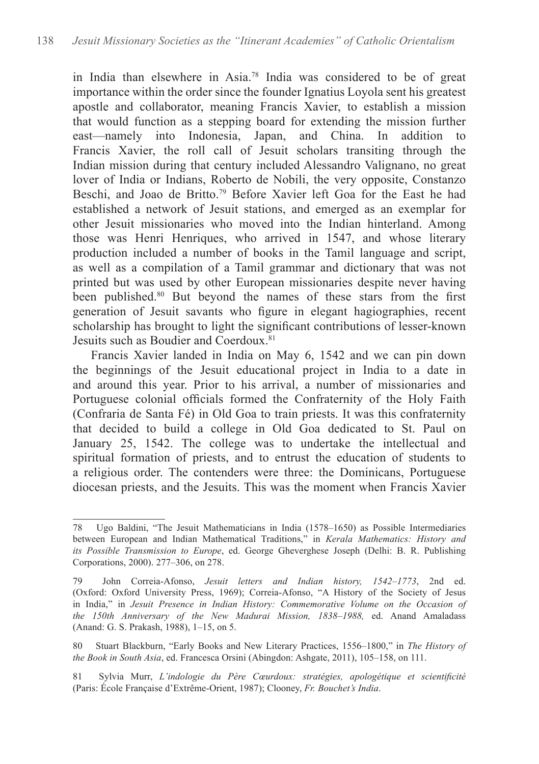in India than elsewhere in Asia.<sup>78</sup> India was considered to be of great importance within the order since the founder Ignatius Loyola sent his greatest apostle and collaborator, meaning Francis Xavier, to establish a mission that would function as a stepping board for extending the mission further east—namely into Indonesia, Japan, and China. In addition to Francis Xavier, the roll call of Jesuit scholars transiting through the Indian mission during that century included Alessandro Valignano, no great lover of India or Indians, Roberto de Nobili, the very opposite, Constanzo Beschi, and Joao de Britto.79 Before Xavier left Goa for the East he had established a network of Jesuit stations, and emerged as an exemplar for other Jesuit missionaries who moved into the Indian hinterland. Among those was Henri Henriques, who arrived in 1547, and whose literary production included a number of books in the Tamil language and script, as well as a compilation of a Tamil grammar and dictionary that was not printed but was used by other European missionaries despite never having been published.<sup>80</sup> But beyond the names of these stars from the first generation of Jesuit savants who figure in elegant hagiographies, recent scholarship has brought to light the significant contributions of lesser-known Jesuits such as Boudier and Coerdoux.<sup>81</sup>

Francis Xavier landed in India on May 6, 1542 and we can pin down the beginnings of the Jesuit educational project in India to a date in and around this year. Prior to his arrival, a number of missionaries and Portuguese colonial officials formed the Confraternity of the Holy Faith (Confraria de Santa Fé) in Old Goa to train priests. It was this confraternity that decided to build a college in Old Goa dedicated to St. Paul on January 25, 1542. The college was to undertake the intellectual and spiritual formation of priests, and to entrust the education of students to a religious order. The contenders were three: the Dominicans, Portuguese diocesan priests, and the Jesuits. This was the moment when Francis Xavier

<sup>78</sup> Ugo Baldini, "The Jesuit Mathematicians in India (1578–1650) as Possible Intermediaries between European and Indian Mathematical Traditions," in *Kerala Mathematics: History and its Possible Transmission to Europe*, ed. George Gheverghese Joseph (Delhi: B. R. Publishing Corporations, 2000). 277–306, on 278.

<sup>79</sup> John Correia-Afonso, *Jesuit letters and Indian history, 1542–1773*, 2nd ed. (Oxford: Oxford University Press, 1969); Correia-Afonso, "A History of the Society of Jesus in India," in *Jesuit Presence in Indian History: Commemorative Volume on the Occasion of the 150th Anniversary of the New Madurai Mission, 1838–1988,* ed. Anand Amaladass (Anand: G. S. Prakash, 1988), 1–15, on 5.

<sup>80</sup> Stuart Blackburn, "Early Books and New Literary Practices, 1556–1800," in *The History of the Book in South Asia*, ed. Francesca Orsini (Abingdon: Ashgate, 2011), 105–158, on 111.

<sup>81</sup> Sylvia Murr, *L'indologie du Père Cœurdoux: stratégies, apologétique et scientificité* (Paris: École Française d'Extrême-Orient, 1987); Clooney, *Fr. Bouchet's India*.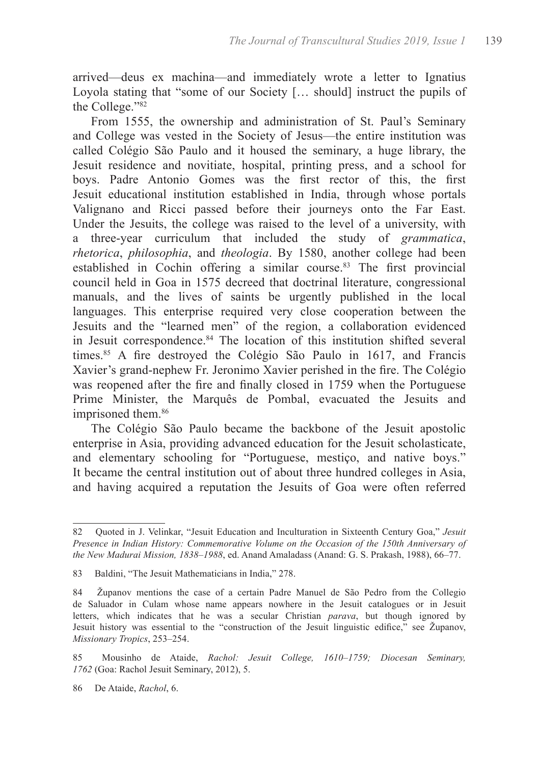arrived—deus ex machina—and immediately wrote a letter to Ignatius Loyola stating that "some of our Society [… should] instruct the pupils of the College."82

From 1555, the ownership and administration of St. Paul's Seminary and College was vested in the Society of Jesus—the entire institution was called Colégio São Paulo and it housed the seminary, a huge library, the Jesuit residence and novitiate, hospital, printing press, and a school for boys. Padre Antonio Gomes was the first rector of this, the first Jesuit educational institution established in India, through whose portals Valignano and Ricci passed before their journeys onto the Far East. Under the Jesuits, the college was raised to the level of a university, with a three-year curriculum that included the study of *grammatica*, *rhetorica*, *philosophia*, and *theologia*. By 1580, another college had been established in Cochin offering a similar course.<sup>83</sup> The first provincial council held in Goa in 1575 decreed that doctrinal literature, congressional manuals, and the lives of saints be urgently published in the local languages. This enterprise required very close cooperation between the Jesuits and the "learned men" of the region, a collaboration evidenced in Jesuit correspondence.<sup>84</sup> The location of this institution shifted several times.<sup>85</sup> A fire destroyed the Colégio São Paulo in 1617, and Francis Xavier's grand-nephew Fr. Jeronimo Xavier perished in the fire. The Colégio was reopened after the fire and finally closed in 1759 when the Portuguese Prime Minister, the Marquês de Pombal, evacuated the Jesuits and imprisoned them.<sup>86</sup>

The Colégio São Paulo became the backbone of the Jesuit apostolic enterprise in Asia, providing advanced education for the Jesuit scholasticate, and elementary schooling for "Portuguese, mestiço, and native boys." It became the central institution out of about three hundred colleges in Asia, and having acquired a reputation the Jesuits of Goa were often referred

<sup>82</sup> Quoted in J. Velinkar, "Jesuit Education and Inculturation in Sixteenth Century Goa," *Jesuit Presence in Indian History: Commemorative Volume on the Occasion of the 150th Anniversary of the New Madurai Mission, 1838–1988*, ed. Anand Amaladass (Anand: G. S. Prakash, 1988), 66–77.

<sup>83</sup> Baldini, "The Jesuit Mathematicians in India," 278.

<sup>84</sup> Županov mentions the case of a certain Padre Manuel de São Pedro from the Collegio de Saluador in Culam whose name appears nowhere in the Jesuit catalogues or in Jesuit letters, which indicates that he was a secular Christian *parava*, but though ignored by Jesuit history was essential to the "construction of the Jesuit linguistic edifice," see Županov, *Missionary Tropics*, 253–254.

<sup>85</sup> Mousinho de Ataide, *Rachol: Jesuit College, 1610–1759; Diocesan Seminary, 1762* (Goa: Rachol Jesuit Seminary, 2012), 5.

<sup>86</sup> De Ataide, *Rachol*, 6.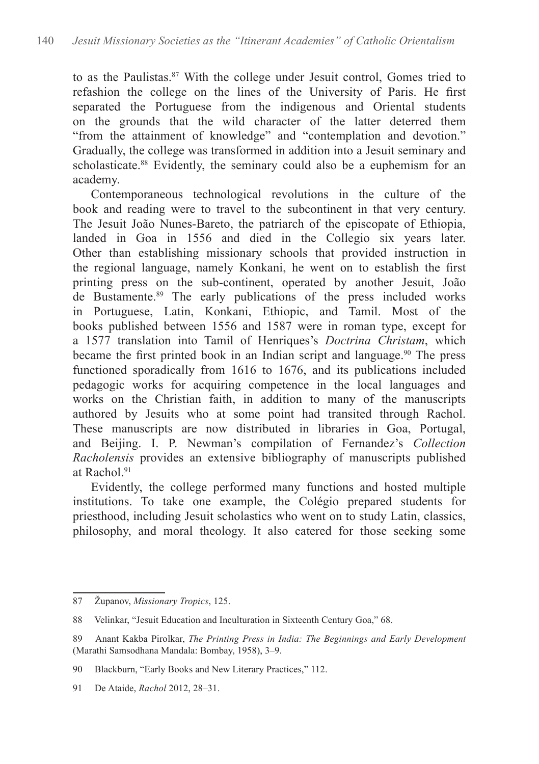to as the Paulistas.<sup>87</sup> With the college under Jesuit control, Gomes tried to refashion the college on the lines of the University of Paris. He first separated the Portuguese from the indigenous and Oriental students on the grounds that the wild character of the latter deterred them "from the attainment of knowledge" and "contemplation and devotion." Gradually, the college was transformed in addition into a Jesuit seminary and scholasticate.<sup>88</sup> Evidently, the seminary could also be a euphemism for an academy.

Contemporaneous technological revolutions in the culture of the book and reading were to travel to the subcontinent in that very century. The Jesuit João Nunes-Bareto, the patriarch of the episcopate of Ethiopia, landed in Goa in 1556 and died in the Collegio six years later. Other than establishing missionary schools that provided instruction in the regional language, namely Konkani, he went on to establish the first printing press on the sub-continent, operated by another Jesuit, João de Bustamente.<sup>89</sup> The early publications of the press included works in Portuguese, Latin, Konkani, Ethiopic, and Tamil. Most of the books published between 1556 and 1587 were in roman type, except for a 1577 translation into Tamil of Henriques's *Doctrina Christam*, which became the first printed book in an Indian script and language.<sup>90</sup> The press functioned sporadically from 1616 to 1676, and its publications included pedagogic works for acquiring competence in the local languages and works on the Christian faith, in addition to many of the manuscripts authored by Jesuits who at some point had transited through Rachol. These manuscripts are now distributed in libraries in Goa, Portugal, and Beijing. I. P. Newman's compilation of Fernandez's *Collection Racholensis* provides an extensive bibliography of manuscripts published at Rachol<sup>91</sup>

Evidently, the college performed many functions and hosted multiple institutions. To take one example, the Colégio prepared students for priesthood, including Jesuit scholastics who went on to study Latin, classics, philosophy, and moral theology. It also catered for those seeking some

91 De Ataide, *Rachol* 2012, 28–31.

<sup>87</sup> Županov, *Missionary Tropics*, 125.

<sup>88</sup> Velinkar, "Jesuit Education and Inculturation in Sixteenth Century Goa," 68.

<sup>89</sup> Anant Kakba Pirolkar, *The Printing Press in India: The Beginnings and Early Development* (Marathi Samsodhana Mandala: Bombay, 1958), 3–9.

<sup>90</sup> Blackburn, "Early Books and New Literary Practices," 112.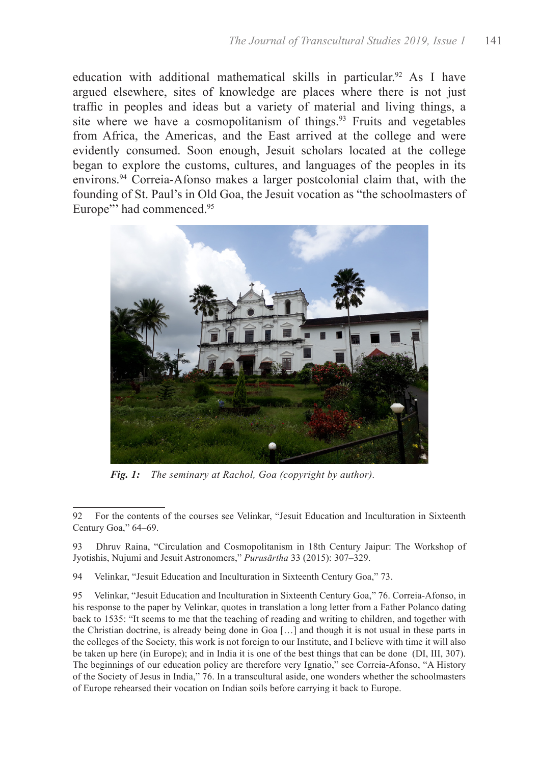education with additional mathematical skills in particular.<sup>92</sup> As I have argued elsewhere, sites of knowledge are places where there is not just traffic in peoples and ideas but a variety of material and living things, a site where we have a cosmopolitanism of things.<sup>93</sup> Fruits and vegetables from Africa, the Americas, and the East arrived at the college and were evidently consumed. Soon enough, Jesuit scholars located at the college began to explore the customs, cultures, and languages of the peoples in its environs.<sup>94</sup> Correia-Afonso makes a larger postcolonial claim that, with the founding of St. Paul's in Old Goa, the Jesuit vocation as "the schoolmasters of Europe"' had commenced.<sup>95</sup>



*Fig. 1: The seminary at Rachol, Goa (copyright by author).*

93 Dhruv Raina, "Circulation and Cosmopolitanism in 18th Century Jaipur: The Workshop of Jyotishis, Nujumi and Jesuit Astronomers," *Purusārtha* 33 (2015): 307–329.

94 Velinkar, "Jesuit Education and Inculturation in Sixteenth Century Goa," 73.

95 Velinkar, "Jesuit Education and Inculturation in Sixteenth Century Goa," 76. Correia-Afonso, in his response to the paper by Velinkar, quotes in translation a long letter from a Father Polanco dating back to 1535: "It seems to me that the teaching of reading and writing to children, and together with the Christian doctrine, is already being done in Goa […] and though it is not usual in these parts in the colleges of the Society, this work is not foreign to our Institute, and I believe with time it will also be taken up here (in Europe); and in India it is one of the best things that can be done (DI, III, 307). The beginnings of our education policy are therefore very Ignatio," see Correia-Afonso, "A History of the Society of Jesus in India," 76. In a transcultural aside, one wonders whether the schoolmasters of Europe rehearsed their vocation on Indian soils before carrying it back to Europe.

<sup>92</sup> For the contents of the courses see Velinkar, "Jesuit Education and Inculturation in Sixteenth Century Goa," 64–69.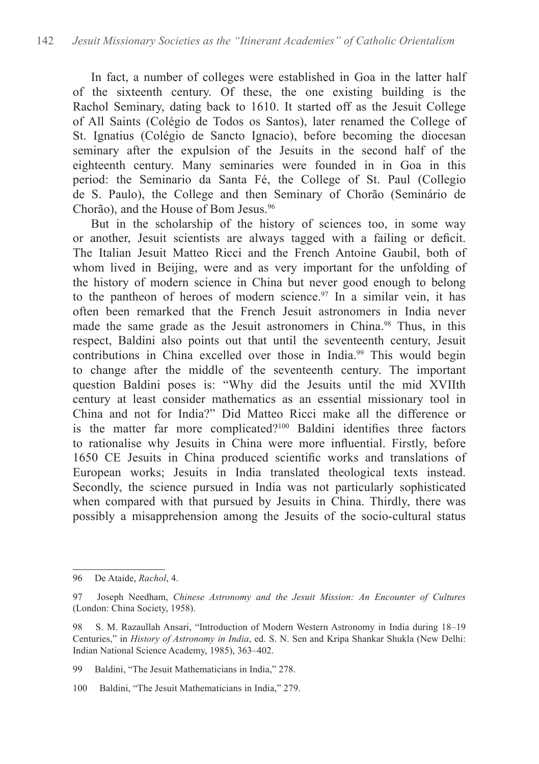In fact, a number of colleges were established in Goa in the latter half of the sixteenth century. Of these, the one existing building is the Rachol Seminary, dating back to 1610. It started off as the Jesuit College of All Saints (Colégio de Todos os Santos), later renamed the College of St. Ignatius (Colégio de Sancto Ignacio), before becoming the diocesan seminary after the expulsion of the Jesuits in the second half of the eighteenth century. Many seminaries were founded in in Goa in this period: the Seminario da Santa Fé, the College of St. Paul (Collegio de S. Paulo), the College and then Seminary of Chorão (Seminário de Chorão), and the House of Bom Jesus.<sup>96</sup>

But in the scholarship of the history of sciences too, in some way or another, Jesuit scientists are always tagged with a failing or deficit. The Italian Jesuit Matteo Ricci and the French Antoine Gaubil, both of whom lived in Beijing, were and as very important for the unfolding of the history of modern science in China but never good enough to belong to the pantheon of heroes of modern science.<sup>97</sup> In a similar vein, it has often been remarked that the French Jesuit astronomers in India never made the same grade as the Jesuit astronomers in China.<sup>98</sup> Thus, in this respect, Baldini also points out that until the seventeenth century, Jesuit contributions in China excelled over those in India.<sup>99</sup> This would begin to change after the middle of the seventeenth century. The important question Baldini poses is: "Why did the Jesuits until the mid XVIIth century at least consider mathematics as an essential missionary tool in China and not for India?" Did Matteo Ricci make all the difference or is the matter far more complicated?100 Baldini identifies three factors to rationalise why Jesuits in China were more influential. Firstly, before 1650 CE Jesuits in China produced scientific works and translations of European works; Jesuits in India translated theological texts instead. Secondly, the science pursued in India was not particularly sophisticated when compared with that pursued by Jesuits in China. Thirdly, there was possibly a misapprehension among the Jesuits of the socio-cultural status

<sup>96</sup> De Ataide, *Rachol*, 4.

<sup>97</sup> Joseph Needham, *Chinese Astronomy and the Jesuit Mission: An Encounter of Cultures* (London: China Society, 1958).

<sup>98</sup> S. M. Razaullah Ansari, "Introduction of Modern Western Astronomy in India during 18–19 Centuries," in *History of Astronomy in India*, ed. S. N. Sen and Kripa Shankar Shukla (New Delhi: Indian National Science Academy, 1985), 363–402.

<sup>99</sup> Baldini, "The Jesuit Mathematicians in India," 278.

<sup>100</sup> Baldini, "The Jesuit Mathematicians in India," 279.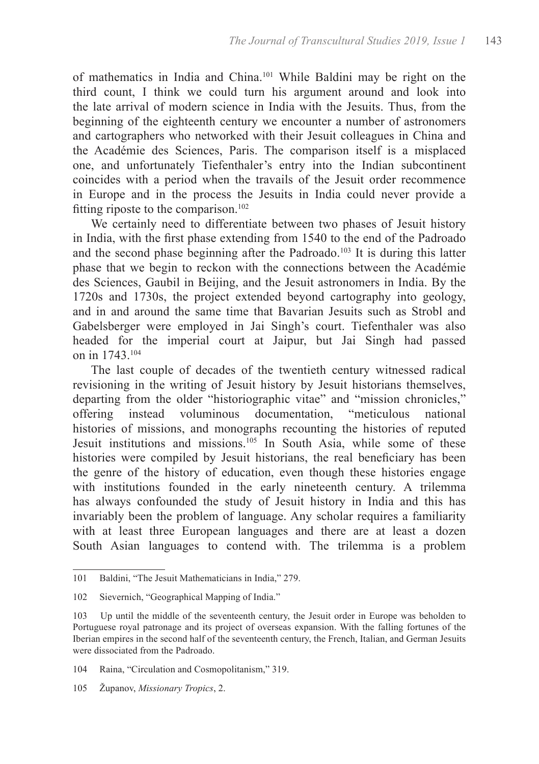of mathematics in India and China.<sup>101</sup> While Baldini may be right on the third count, I think we could turn his argument around and look into the late arrival of modern science in India with the Jesuits. Thus, from the beginning of the eighteenth century we encounter a number of astronomers and cartographers who networked with their Jesuit colleagues in China and the Académie des Sciences, Paris. The comparison itself is a misplaced one, and unfortunately Tiefenthaler's entry into the Indian subcontinent coincides with a period when the travails of the Jesuit order recommence in Europe and in the process the Jesuits in India could never provide a fitting riposte to the comparison.<sup>102</sup>

We certainly need to differentiate between two phases of Jesuit history in India, with the first phase extending from 1540 to the end of the Padroado and the second phase beginning after the Padroado.<sup>103</sup> It is during this latter phase that we begin to reckon with the connections between the Académie des Sciences, Gaubil in Beijing, and the Jesuit astronomers in India. By the 1720s and 1730s, the project extended beyond cartography into geology, and in and around the same time that Bavarian Jesuits such as Strobl and Gabelsberger were employed in Jai Singh's court. Tiefenthaler was also headed for the imperial court at Jaipur, but Jai Singh had passed on in 1743.104

The last couple of decades of the twentieth century witnessed radical revisioning in the writing of Jesuit history by Jesuit historians themselves, departing from the older "historiographic vitae" and "mission chronicles," offering instead voluminous documentation, "meticulous national histories of missions, and monographs recounting the histories of reputed Jesuit institutions and missions.<sup>105</sup> In South Asia, while some of these histories were compiled by Jesuit historians, the real beneficiary has been the genre of the history of education, even though these histories engage with institutions founded in the early nineteenth century. A trilemma has always confounded the study of Jesuit history in India and this has invariably been the problem of language. Any scholar requires a familiarity with at least three European languages and there are at least a dozen South Asian languages to contend with. The trilemma is a problem

105 Županov, *Missionary Tropics*, 2.

<sup>101</sup> Baldini, "The Jesuit Mathematicians in India," 279.

<sup>102</sup> Sievernich, "Geographical Mapping of India."

<sup>103</sup> Up until the middle of the seventeenth century, the Jesuit order in Europe was beholden to Portuguese royal patronage and its project of overseas expansion. With the falling fortunes of the Iberian empires in the second half of the seventeenth century, the French, Italian, and German Jesuits were dissociated from the Padroado.

<sup>104</sup> Raina, "Circulation and Cosmopolitanism," 319.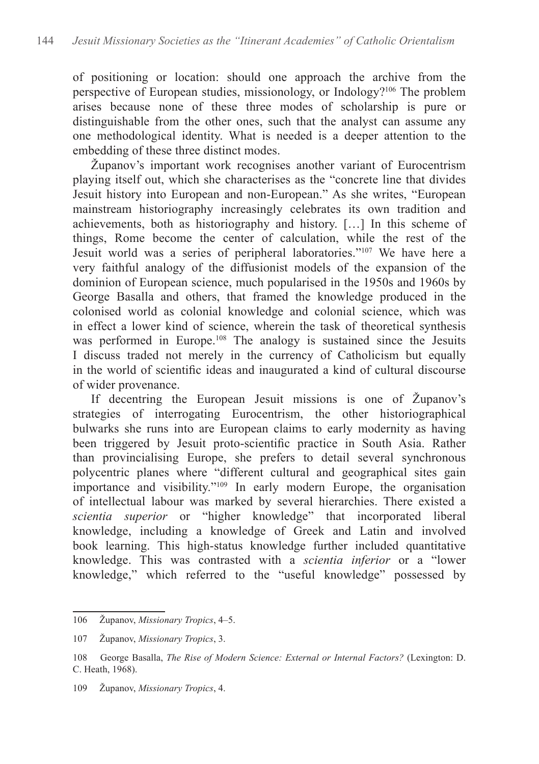of positioning or location: should one approach the archive from the perspective of European studies, missionology, or Indology?<sup>106</sup> The problem arises because none of these three modes of scholarship is pure or distinguishable from the other ones, such that the analyst can assume any one methodological identity. What is needed is a deeper attention to the embedding of these three distinct modes.

Županov's important work recognises another variant of Eurocentrism playing itself out, which she characterises as the "concrete line that divides Jesuit history into European and non-European." As she writes, "European mainstream historiography increasingly celebrates its own tradition and achievements, both as historiography and history. […] In this scheme of things, Rome become the center of calculation, while the rest of the Jesuit world was a series of peripheral laboratories."<sup>107</sup> We have here a very faithful analogy of the diffusionist models of the expansion of the dominion of European science, much popularised in the 1950s and 1960s by George Basalla and others, that framed the knowledge produced in the colonised world as colonial knowledge and colonial science, which was in effect a lower kind of science, wherein the task of theoretical synthesis was performed in Europe.<sup>108</sup> The analogy is sustained since the Jesuits I discuss traded not merely in the currency of Catholicism but equally in the world of scientific ideas and inaugurated a kind of cultural discourse of wider provenance.

If decentring the European Jesuit missions is one of Županov's strategies of interrogating Eurocentrism, the other historiographical bulwarks she runs into are European claims to early modernity as having been triggered by Jesuit proto-scientific practice in South Asia. Rather than provincialising Europe, she prefers to detail several synchronous polycentric planes where "different cultural and geographical sites gain importance and visibility."<sup>109</sup> In early modern Europe, the organisation of intellectual labour was marked by several hierarchies. There existed a *scientia superior* or "higher knowledge" that incorporated liberal knowledge, including a knowledge of Greek and Latin and involved book learning. This high-status knowledge further included quantitative knowledge. This was contrasted with a *scientia inferior* or a "lower knowledge," which referred to the "useful knowledge" possessed by

<sup>106</sup> Županov, *Missionary Tropics*, 4–5.

<sup>107</sup> Županov, *Missionary Tropics*, 3.

<sup>108</sup> George Basalla, *The Rise of Modern Science: External or Internal Factors?* (Lexington: D. C. Heath, 1968).

<sup>109</sup> Županov, *Missionary Tropics*, 4.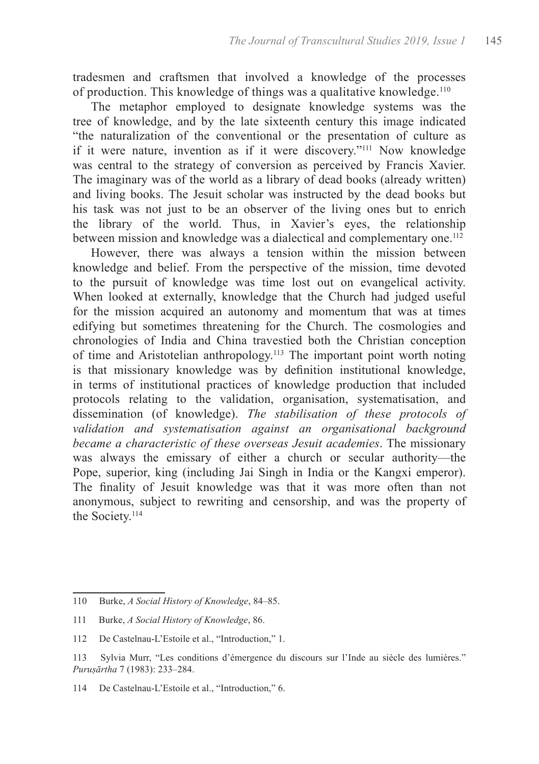tradesmen and craftsmen that involved a knowledge of the processes of production. This knowledge of things was a qualitative knowledge.<sup>110</sup>

The metaphor employed to designate knowledge systems was the tree of knowledge, and by the late sixteenth century this image indicated "the naturalization of the conventional or the presentation of culture as if it were nature, invention as if it were discovery."111 Now knowledge was central to the strategy of conversion as perceived by Francis Xavier. The imaginary was of the world as a library of dead books (already written) and living books. The Jesuit scholar was instructed by the dead books but his task was not just to be an observer of the living ones but to enrich the library of the world. Thus, in Xavier's eyes, the relationship between mission and knowledge was a dialectical and complementary one.<sup>112</sup>

However, there was always a tension within the mission between knowledge and belief. From the perspective of the mission, time devoted to the pursuit of knowledge was time lost out on evangelical activity. When looked at externally, knowledge that the Church had judged useful for the mission acquired an autonomy and momentum that was at times edifying but sometimes threatening for the Church. The cosmologies and chronologies of India and China travestied both the Christian conception of time and Aristotelian anthropology.113 The important point worth noting is that missionary knowledge was by definition institutional knowledge, in terms of institutional practices of knowledge production that included protocols relating to the validation, organisation, systematisation, and dissemination (of knowledge). *The stabilisation of these protocols of validation and systematisation against an organisational background became a characteristic of these overseas Jesuit academies*. The missionary was always the emissary of either a church or secular authority—the Pope, superior, king (including Jai Singh in India or the Kangxi emperor). The finality of Jesuit knowledge was that it was more often than not anonymous, subject to rewriting and censorship, and was the property of the Society.<sup>114</sup>

<sup>110</sup> Burke, *A Social History of Knowledge*, 84–85.

<sup>111</sup> Burke, *A Social History of Knowledge*, 86.

<sup>112</sup> De Castelnau-L'Estoile et al., "Introduction," 1.

<sup>113</sup> Sylvia Murr, "Les conditions d'émergence du discours sur l'Inde au siècle des lumières." *Puruṣārtha* 7 (1983): 233–284.

<sup>114</sup> De Castelnau-L'Estoile et al., "Introduction," 6.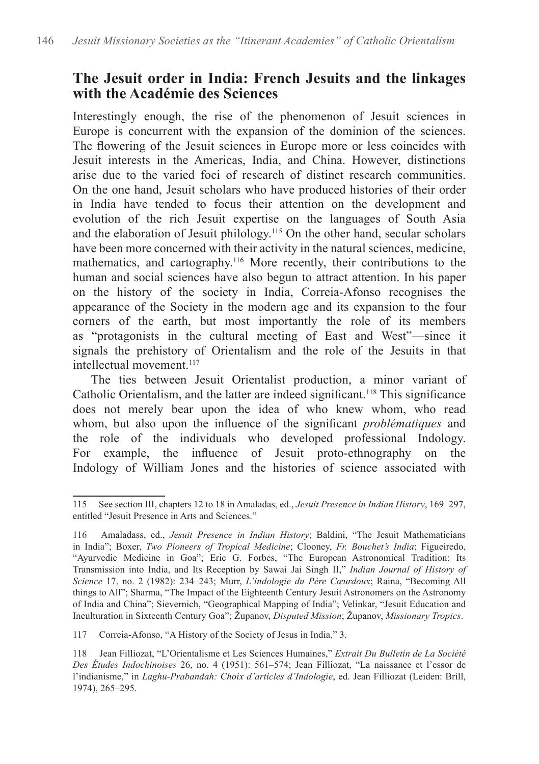#### **The Jesuit order in India: French Jesuits and the linkages with the Académie des Sciences**

Interestingly enough, the rise of the phenomenon of Jesuit sciences in Europe is concurrent with the expansion of the dominion of the sciences. The flowering of the Jesuit sciences in Europe more or less coincides with Jesuit interests in the Americas, India, and China. However, distinctions arise due to the varied foci of research of distinct research communities. On the one hand, Jesuit scholars who have produced histories of their order in India have tended to focus their attention on the development and evolution of the rich Jesuit expertise on the languages of South Asia and the elaboration of Jesuit philology.<sup>115</sup> On the other hand, secular scholars have been more concerned with their activity in the natural sciences, medicine, mathematics, and cartography.116 More recently, their contributions to the human and social sciences have also begun to attract attention. In his paper on the history of the society in India, Correia-Afonso recognises the appearance of the Society in the modern age and its expansion to the four corners of the earth, but most importantly the role of its members as "protagonists in the cultural meeting of East and West"—since it signals the prehistory of Orientalism and the role of the Jesuits in that intellectual movement<sup>117</sup>

The ties between Jesuit Orientalist production, a minor variant of Catholic Orientalism, and the latter are indeed significant.<sup>118</sup> This significance does not merely bear upon the idea of who knew whom, who read whom, but also upon the influence of the significant *problématiques* and the role of the individuals who developed professional Indology. For example, the influence of Jesuit proto-ethnography on the Indology of William Jones and the histories of science associated with

117 Correia-Afonso, "A History of the Society of Jesus in India," 3.

<sup>115</sup> See section III, chapters 12 to 18 in Amaladas, ed., *Jesuit Presence in Indian History*, 169–297, entitled "Jesuit Presence in Arts and Sciences."

<sup>116</sup> Amaladass, ed., *Jesuit Presence in Indian History*; Baldini, "The Jesuit Mathematicians in India"; Boxer, *Two Pioneers of Tropical Medicine*; Clooney, *Fr. Bouchet's India*; Figueiredo, "Ayurvedic Medicine in Goa"; Eric G. Forbes, "The European Astronomical Tradition: Its Transmission into India, and Its Reception by Sawai Jai Singh II," *Indian Journal of History of Science* 17, no. 2 (1982): 234–243; Murr, *L'indologie du Père Cœurdoux*; Raina, "Becoming All things to All"; Sharma, "The Impact of the Eighteenth Century Jesuit Astronomers on the Astronomy of India and China"; Sievernich, "Geographical Mapping of India"; Velinkar, "Jesuit Education and Inculturation in Sixteenth Century Goa"; Županov, *Disputed Mission*; Županov, *Missionary Tropics*.

<sup>118</sup> Jean Filliozat, "L'Orientalisme et Les Sciences Humaines," *Extrait Du Bulletin de La Société Des Études Indochinoises* 26, no. 4 (1951): 561–574; Jean Filliozat, "La naissance et l'essor de l'indianisme," in *Laghu-Prabandah: Choix d'articles d'Indologie*, ed. Jean Filliozat (Leiden: Brill, 1974), 265–295.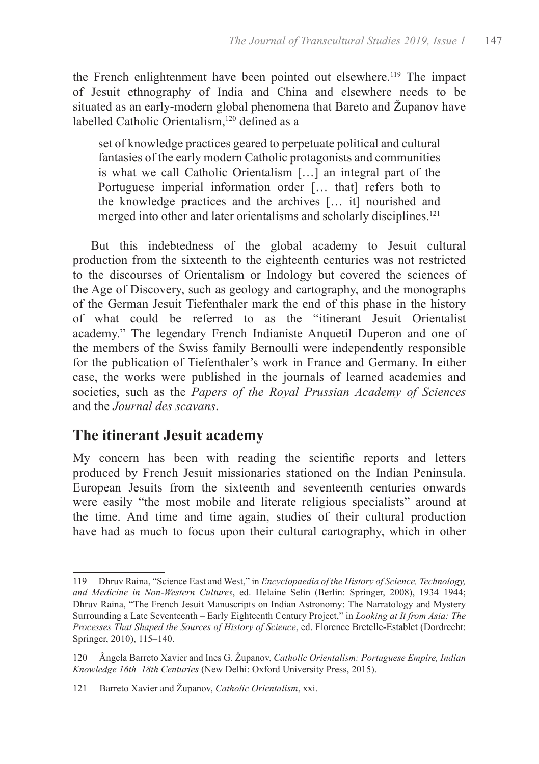the French enlightenment have been pointed out elsewhere.119 The impact of Jesuit ethnography of India and China and elsewhere needs to be situated as an early-modern global phenomena that Bareto and Županov have labelled Catholic Orientalism.<sup>120</sup> defined as a

set of knowledge practices geared to perpetuate political and cultural fantasies of the early modern Catholic protagonists and communities is what we call Catholic Orientalism […] an integral part of the Portuguese imperial information order [... that] refers both to the knowledge practices and the archives [… it] nourished and merged into other and later orientalisms and scholarly disciplines.<sup>121</sup>

But this indebtedness of the global academy to Jesuit cultural production from the sixteenth to the eighteenth centuries was not restricted to the discourses of Orientalism or Indology but covered the sciences of the Age of Discovery, such as geology and cartography, and the monographs of the German Jesuit Tiefenthaler mark the end of this phase in the history of what could be referred to as the "itinerant Jesuit Orientalist academy." The legendary French Indianiste Anquetil Duperon and one of the members of the Swiss family Bernoulli were independently responsible for the publication of Tiefenthaler's work in France and Germany. In either case, the works were published in the journals of learned academies and societies, such as the *Papers of the Royal Prussian Academy of Sciences* and the *Journal des scavans*.

# **The itinerant Jesuit academy**

My concern has been with reading the scientific reports and letters produced by French Jesuit missionaries stationed on the Indian Peninsula. European Jesuits from the sixteenth and seventeenth centuries onwards were easily "the most mobile and literate religious specialists" around at the time. And time and time again, studies of their cultural production have had as much to focus upon their cultural cartography, which in other

<sup>119</sup> Dhruv Raina, "Science East and West," in *Encyclopaedia of the History of Science, Technology, and Medicine in Non-Western Cultures*, ed. Helaine Selin (Berlin: Springer, 2008), 1934–1944; Dhruv Raina, "The French Jesuit Manuscripts on Indian Astronomy: The Narratology and Mystery Surrounding a Late Seventeenth – Early Eighteenth Century Project," in *Looking at It from Asia: The Processes That Shaped the Sources of History of Science*, ed. Florence Bretelle-Establet (Dordrecht: Springer, 2010), 115–140.

<sup>120</sup> Ângela Barreto Xavier and Ines G. Županov, *Catholic Orientalism: Portuguese Empire, Indian Knowledge 16th–18th Centuries* (New Delhi: Oxford University Press, 2015).

<sup>121</sup> Barreto Xavier and Županov, *Catholic Orientalism*, xxi.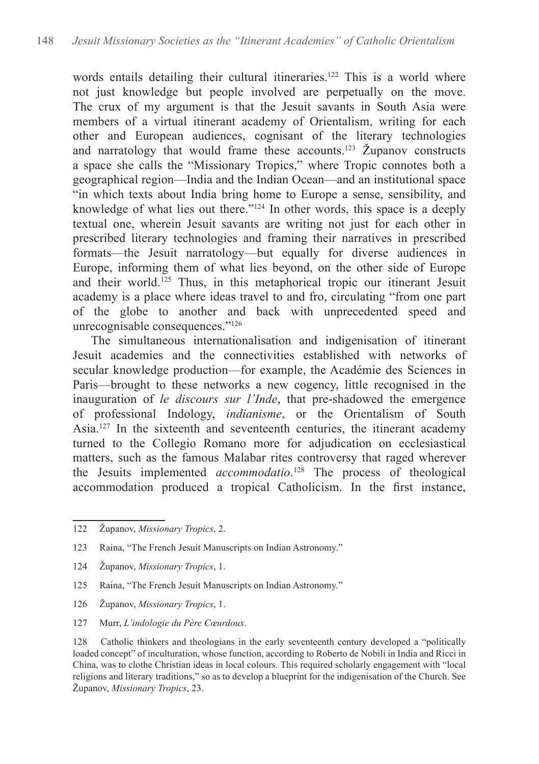words entails detailing their cultural itineraries.<sup>122</sup> This is a world where not just knowledge but people involved are perpetually on the move. The crux of my argument is that the Jesuit savants in South Asia were members of a virtual itinerant academy of Orientalism, writing for each other and European audiences, cognisant of the literary technologies and narratology that would frame these accounts.<sup>123</sup> Županov constructs a space she calls the "Missionary Tropics," where Tropic connotes both a geographical region—India and the Indian Ocean—and an institutional space "in which texts about India bring home to Europe a sense, sensibility, and knowledge of what lies out there.<sup> $2124$ </sup> In other words, this space is a deeply textual one, wherein Jesuit savants are writing not just for each other in prescribed literary technologies and framing their narratives in prescribed formats—the Jesuit narratology—but equally for diverse audiences in Europe, informing them of what lies beyond, on the other side of Europe and their world.<sup>125</sup> Thus, in this metaphorical tropic our itinerant Jesuit academy is a place where ideas travel to and fro, circulating "from one part of the globe to another and back with unprecedented speed and unrecognisable consequences."126

The simultaneous internationalisation and indigenisation of itinerant Jesuit academies and the connectivities established with networks of secular knowledge production—for example, the Académie des Sciences in Paris—brought to these networks a new cogency, little recognised in the inauguration of *le discours sur l'Inde*, that pre-shadowed the emergence of professional Indology, *indianisme*, or the Orientalism of South Asia.<sup>127</sup> In the sixteenth and seventeenth centuries, the itinerant academy turned to the Collegio Romano more for adjudication on ecclesiastical matters, such as the famous Malabar rites controversy that raged wherever the Jesuits implemented *accommodatio*. 128 The process of theological accommodation produced a tropical Catholicism. In the first instance,

- 124 Županov, *Missionary Tropics*, 1.
- 125 Raina, "The French Jesuit Manuscripts on Indian Astronomy."
- 126 Županov, *Missionary Tropics*, 1.
- 127 Murr, *L'indologie du Père Cœurdoux*.

<sup>122</sup> Županov, *Missionary Tropics*, 2.

<sup>123</sup> Raina, "The French Jesuit Manuscripts on Indian Astronomy."

<sup>128</sup> Catholic thinkers and theologians in the early seventeenth century developed a "politically loaded concept" of inculturation, whose function, according to Roberto de Nobili in India and Ricci in China, was to clothe Christian ideas in local colours. This required scholarly engagement with "local religions and literary traditions," so as to develop a blueprint for the indigenisation of the Church. See Županov, *Missionary Tropics*, 23.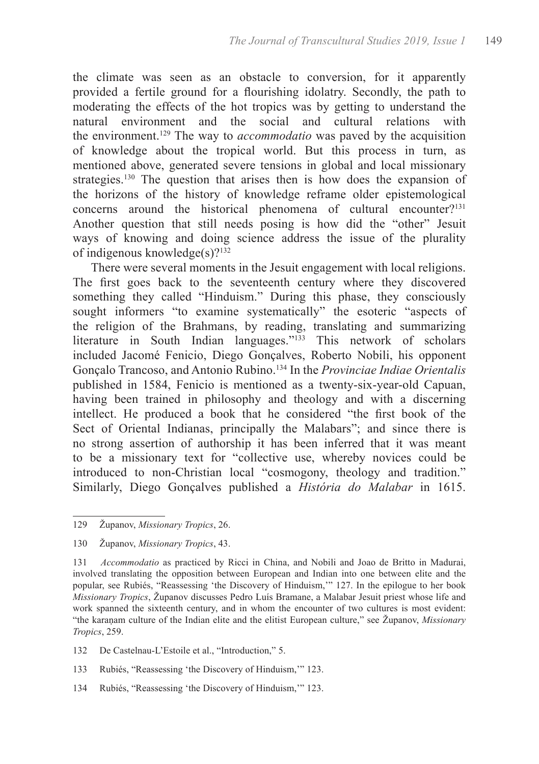the climate was seen as an obstacle to conversion, for it apparently provided a fertile ground for a flourishing idolatry. Secondly, the path to moderating the effects of the hot tropics was by getting to understand the natural environment and the social and cultural relations with the environment.129 The way to *accommodatio* was paved by the acquisition of knowledge about the tropical world. But this process in turn, as mentioned above, generated severe tensions in global and local missionary strategies.<sup>130</sup> The question that arises then is how does the expansion of the horizons of the history of knowledge reframe older epistemological concerns around the historical phenomena of cultural encounter?<sup>131</sup> Another question that still needs posing is how did the "other" Jesuit ways of knowing and doing science address the issue of the plurality of indigenous knowledge(s)?<sup>132</sup>

There were several moments in the Jesuit engagement with local religions. The first goes back to the seventeenth century where they discovered something they called "Hinduism." During this phase, they consciously sought informers "to examine systematically" the esoteric "aspects of the religion of the Brahmans, by reading, translating and summarizing literature in South Indian languages."133 This network of scholars included Jacomé Fenicio, Diego Gonçalves, Roberto Nobili, his opponent Gonçalo Trancoso, and Antonio Rubino.<sup>134</sup> In the *Provinciae Indiae Orientalis* published in 1584, Fenicio is mentioned as a twenty-six-year-old Capuan, having been trained in philosophy and theology and with a discerning intellect. He produced a book that he considered "the first book of the Sect of Oriental Indianas, principally the Malabars"; and since there is no strong assertion of authorship it has been inferred that it was meant to be a missionary text for "collective use, whereby novices could be introduced to non-Christian local "cosmogony, theology and tradition." Similarly, Diego Gonçalves published a *História do Malabar* in 1615.

- 133 Rubiés, "Reassessing 'the Discovery of Hinduism,'" 123.
- 134 Rubiés, "Reassessing 'the Discovery of Hinduism,'" 123.

<sup>129</sup> Županov, *Missionary Tropics*, 26.

<sup>130</sup> Županov, *Missionary Tropics*, 43.

<sup>131</sup> *Accommodatio* as practiced by Ricci in China, and Nobili and Joao de Britto in Madurai, involved translating the opposition between European and Indian into one between elite and the popular, see Rubiés, "Reassessing 'the Discovery of Hinduism,'" 127. In the epilogue to her book *Missionary Tropics*, Županov discusses Pedro Luís Bramane, a Malabar Jesuit priest whose life and work spanned the sixteenth century, and in whom the encounter of two cultures is most evident: "the karaṇam culture of the Indian elite and the elitist European culture," see Županov, *Missionary Tropics*, 259.

<sup>132</sup> De Castelnau-L'Estoile et al., "Introduction," 5.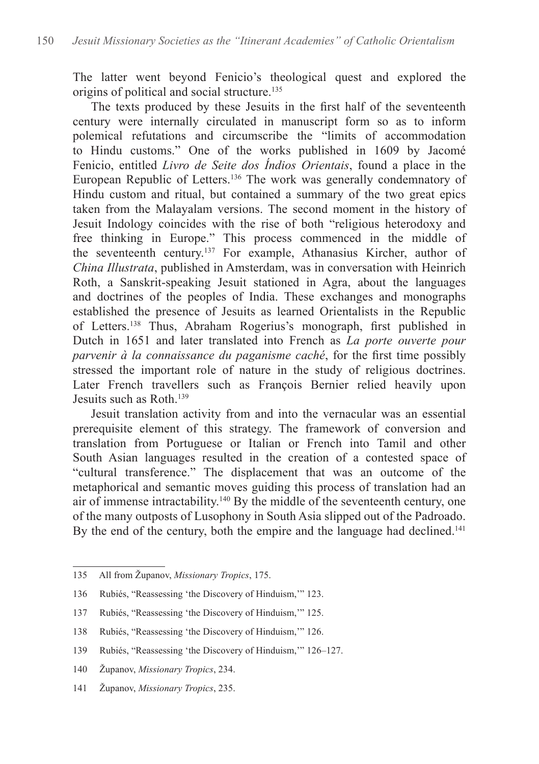The latter went beyond Fenicio's theological quest and explored the origins of political and social structure.<sup>135</sup>

The texts produced by these Jesuits in the first half of the seventeenth century were internally circulated in manuscript form so as to inform polemical refutations and circumscribe the "limits of accommodation to Hindu customs." One of the works published in 1609 by Jacomé Fenicio, entitled *Livro de Seite dos Índios Orientais*, found a place in the European Republic of Letters.136 The work was generally condemnatory of Hindu custom and ritual, but contained a summary of the two great epics taken from the Malayalam versions. The second moment in the history of Jesuit Indology coincides with the rise of both "religious heterodoxy and free thinking in Europe." This process commenced in the middle of the seventeenth century.137 For example, Athanasius Kircher, author of *China Illustrata*, published in Amsterdam, was in conversation with Heinrich Roth, a Sanskrit-speaking Jesuit stationed in Agra, about the languages and doctrines of the peoples of India. These exchanges and monographs established the presence of Jesuits as learned Orientalists in the Republic of Letters.138 Thus, Abraham Rogerius's monograph, first published in Dutch in 1651 and later translated into French as *La porte ouverte pour parvenir à la connaissance du paganisme caché*, for the first time possibly stressed the important role of nature in the study of religious doctrines. Later French travellers such as François Bernier relied heavily upon Jesuits such as Roth.139

Jesuit translation activity from and into the vernacular was an essential prerequisite element of this strategy. The framework of conversion and translation from Portuguese or Italian or French into Tamil and other South Asian languages resulted in the creation of a contested space of "cultural transference." The displacement that was an outcome of the metaphorical and semantic moves guiding this process of translation had an air of immense intractability.<sup>140</sup> By the middle of the seventeenth century, one of the many outposts of Lusophony in South Asia slipped out of the Padroado. By the end of the century, both the empire and the language had declined.<sup>141</sup>

<sup>135</sup> All from Županov, *Missionary Tropics*, 175.

<sup>136</sup> Rubiés, "Reassessing 'the Discovery of Hinduism,'" 123.

<sup>137</sup> Rubiés, "Reassessing 'the Discovery of Hinduism,'" 125.

<sup>138</sup> Rubiés, "Reassessing 'the Discovery of Hinduism,'" 126.

<sup>139</sup> Rubiés, "Reassessing 'the Discovery of Hinduism,'" 126–127.

<sup>140</sup> Županov, *Missionary Tropics*, 234.

<sup>141</sup> Županov, *Missionary Tropics*, 235.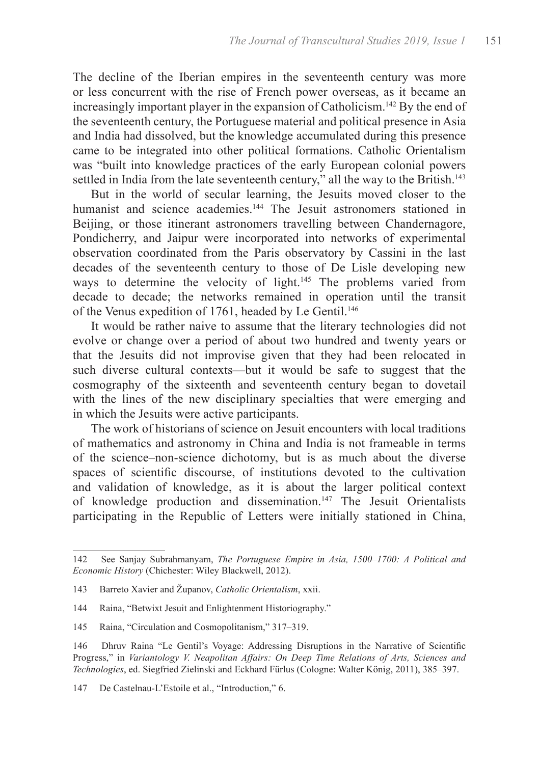The decline of the Iberian empires in the seventeenth century was more or less concurrent with the rise of French power overseas, as it became an increasingly important player in the expansion of Catholicism.<sup>142</sup> By the end of the seventeenth century, the Portuguese material and political presence in Asia and India had dissolved, but the knowledge accumulated during this presence came to be integrated into other political formations. Catholic Orientalism was "built into knowledge practices of the early European colonial powers settled in India from the late seventeenth century," all the way to the British.<sup>143</sup>

But in the world of secular learning, the Jesuits moved closer to the humanist and science academies<sup>144</sup> The Jesuit astronomers stationed in Beijing, or those itinerant astronomers travelling between Chandernagore, Pondicherry, and Jaipur were incorporated into networks of experimental observation coordinated from the Paris observatory by Cassini in the last decades of the seventeenth century to those of De Lisle developing new ways to determine the velocity of light.<sup>145</sup> The problems varied from decade to decade; the networks remained in operation until the transit of the Venus expedition of 1761, headed by Le Gentil.<sup>146</sup>

It would be rather naive to assume that the literary technologies did not evolve or change over a period of about two hundred and twenty years or that the Jesuits did not improvise given that they had been relocated in such diverse cultural contexts—but it would be safe to suggest that the cosmography of the sixteenth and seventeenth century began to dovetail with the lines of the new disciplinary specialties that were emerging and in which the Jesuits were active participants.

The work of historians of science on Jesuit encounters with local traditions of mathematics and astronomy in China and India is not frameable in terms of the science–non-science dichotomy, but is as much about the diverse spaces of scientific discourse, of institutions devoted to the cultivation and validation of knowledge, as it is about the larger political context of knowledge production and dissemination.<sup>147</sup> The Jesuit Orientalists participating in the Republic of Letters were initially stationed in China,

<sup>142</sup> See Sanjay Subrahmanyam, *The Portuguese Empire in Asia, 1500–1700: A Political and Economic History* (Chichester: Wiley Blackwell, 2012).

<sup>143</sup> Barreto Xavier and Županov, *Catholic Orientalism*, xxii.

<sup>144</sup> Raina, "Betwixt Jesuit and Enlightenment Historiography."

<sup>145</sup> Raina, "Circulation and Cosmopolitanism," 317–319.

<sup>146</sup> Dhruv Raina "Le Gentil's Voyage: Addressing Disruptions in the Narrative of Scientific Progress," in *Variantology V. Neapolitan Affairs: On Deep Time Relations of Arts, Sciences and Technologies*, ed. Siegfried Zielinski and Eckhard Fürlus (Cologne: Walter König, 2011), 385–397.

<sup>147</sup> De Castelnau-L'Estoile et al., "Introduction," 6.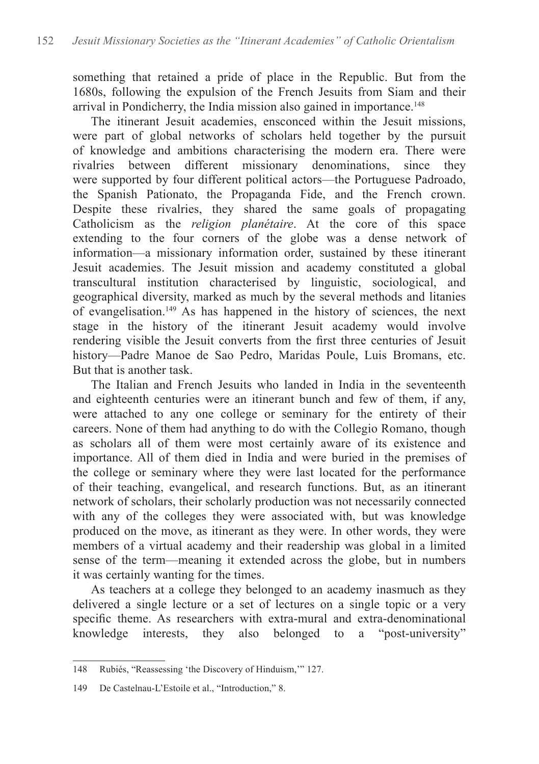something that retained a pride of place in the Republic. But from the 1680s, following the expulsion of the French Jesuits from Siam and their arrival in Pondicherry, the India mission also gained in importance.<sup>148</sup>

The itinerant Jesuit academies, ensconced within the Jesuit missions, were part of global networks of scholars held together by the pursuit of knowledge and ambitions characterising the modern era. There were rivalries between different missionary denominations, since they were supported by four different political actors—the Portuguese Padroado, the Spanish Pationato, the Propaganda Fide, and the French crown. Despite these rivalries, they shared the same goals of propagating Catholicism as the *religion planétaire*. At the core of this space extending to the four corners of the globe was a dense network of information—a missionary information order, sustained by these itinerant Jesuit academies. The Jesuit mission and academy constituted a global transcultural institution characterised by linguistic, sociological, and geographical diversity, marked as much by the several methods and litanies of evangelisation.<sup>149</sup> As has happened in the history of sciences, the next stage in the history of the itinerant Jesuit academy would involve rendering visible the Jesuit converts from the first three centuries of Jesuit history—Padre Manoe de Sao Pedro, Maridas Poule, Luis Bromans, etc. But that is another task.

The Italian and French Jesuits who landed in India in the seventeenth and eighteenth centuries were an itinerant bunch and few of them, if any, were attached to any one college or seminary for the entirety of their careers. None of them had anything to do with the Collegio Romano, though as scholars all of them were most certainly aware of its existence and importance. All of them died in India and were buried in the premises of the college or seminary where they were last located for the performance of their teaching, evangelical, and research functions. But, as an itinerant network of scholars, their scholarly production was not necessarily connected with any of the colleges they were associated with, but was knowledge produced on the move, as itinerant as they were. In other words, they were members of a virtual academy and their readership was global in a limited sense of the term—meaning it extended across the globe, but in numbers it was certainly wanting for the times.

As teachers at a college they belonged to an academy inasmuch as they delivered a single lecture or a set of lectures on a single topic or a very specific theme. As researchers with extra-mural and extra-denominational knowledge interests, they also belonged to a "post-university"

<sup>148</sup> Rubiés, "Reassessing 'the Discovery of Hinduism,'" 127.

<sup>149</sup> De Castelnau-L'Estoile et al., "Introduction," 8.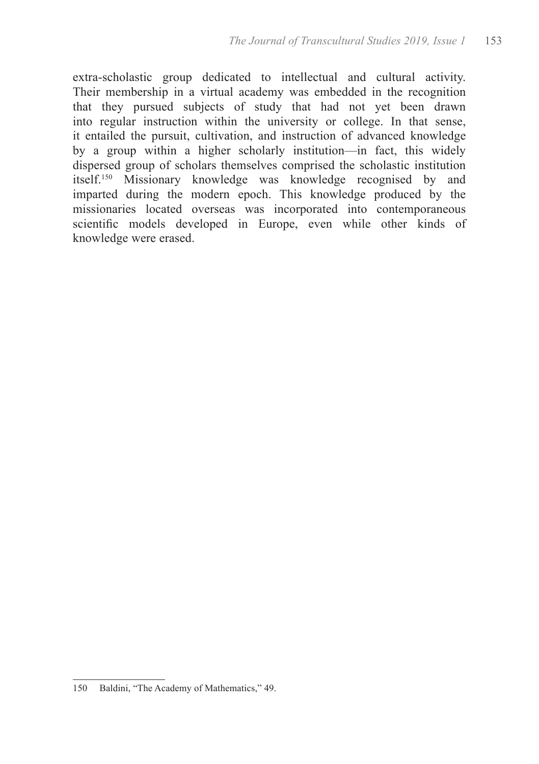extra-scholastic group dedicated to intellectual and cultural activity. Their membership in a virtual academy was embedded in the recognition that they pursued subjects of study that had not yet been drawn into regular instruction within the university or college. In that sense, it entailed the pursuit, cultivation, and instruction of advanced knowledge by a group within a higher scholarly institution—in fact, this widely dispersed group of scholars themselves comprised the scholastic institution itself.<sup>150</sup> Missionary knowledge was knowledge recognised by and imparted during the modern epoch. This knowledge produced by the missionaries located overseas was incorporated into contemporaneous scientific models developed in Europe, even while other kinds of knowledge were erased.

<sup>150</sup> Baldini, "The Academy of Mathematics," 49.